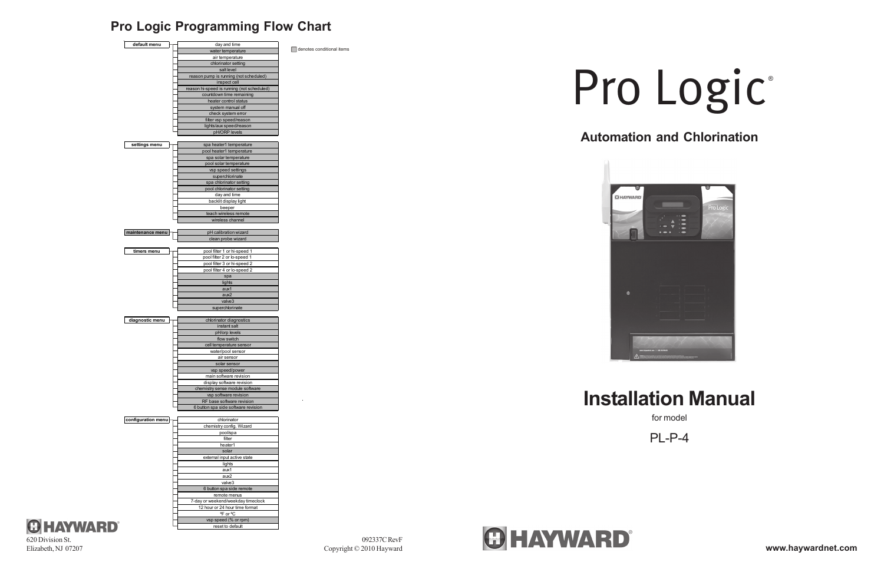## **Pro Logic Programming Flow Chart**

092337C RevF Copyright © 2010 Hayward



## **Automation and Chlorination**



# **Installation Manual**

for model

PL-P-4





# Pro Logic®

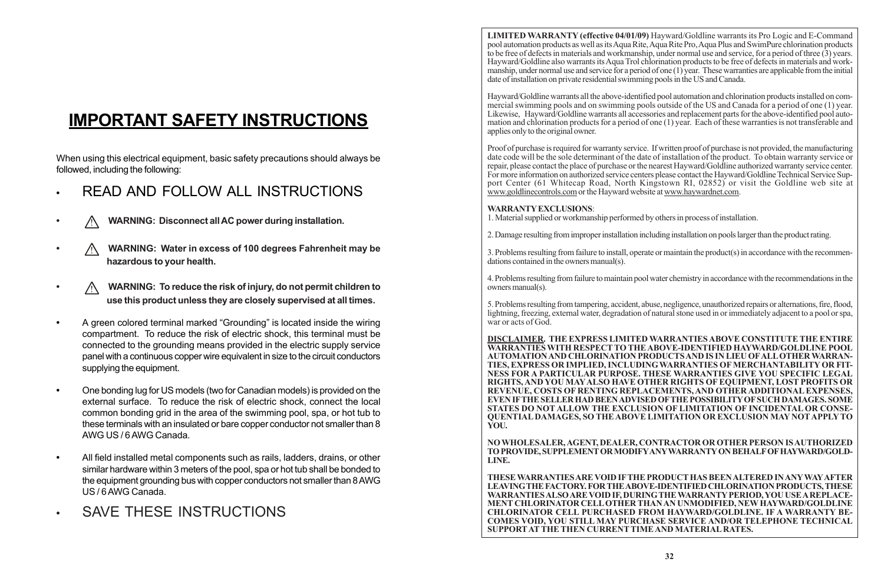# **IMPORTANT SAFETY INSTRUCTIONS**

When using this electrical equipment, basic safety precautions should always be followed, including the following:

- **•** READ AND FOLLOW ALL INSTRUCTIONS
- **•** ! **WARNING: Disconnect all AC power during installation.**
- **•** ! **WARNING: Water in excess of 100 degrees Fahrenheit may be hazardous to your health.**
- **•** ! **WARNING: To reduce the risk of injury, do not permit children to use this product unless they are closely supervised at all times.**
- **•** A green colored terminal marked "Grounding" is located inside the wiring compartment. To reduce the risk of electric shock, this terminal must be connected to the grounding means provided in the electric supply service panel with a continuous copper wire equivalent in size to the circuit conductors supplying the equipment.
- **•** One bonding lug for US models (two for Canadian models) is provided on the external surface. To reduce the risk of electric shock, connect the local common bonding grid in the area of the swimming pool, spa, or hot tub to these terminals with an insulated or bare copper conductor not smaller than 8 AWG US / 6 AWG Canada.
- **•** All field installed metal components such as rails, ladders, drains, or other similar hardware within 3 meters of the pool, spa or hot tub shall be bonded to the equipment grounding bus with copper conductors not smaller than 8 AWG US / 6 AWG Canada.
- **•** SAVE THESE INSTRUCTIONS

**LIMITED WARRANTY (effective 04/01/09)** Hayward/Goldline warrants its Pro Logic and E-Command pool automation products as well as its Aqua Rite, Aqua Rite Pro, Aqua Plus and SwimPure chlorination products to be free of defects in materials and workmanship, under normal use and service, for a period of three (3) years. Hayward/Goldline also warrants its Aqua Trol chlorination products to be free of defects in materials and workmanship, under normal use and service for a period of one (1) year. These warranties are applicable from the initial date of installation on private residential swimming pools in the US and Canada.

Hayward/Goldline warrants all the above-identified pool automation and chlorination products installed on commercial swimming pools and on swimming pools outside of the US and Canada for a period of one (1) year. Likewise, Hayward/Goldline warrants all accessories and replacement parts for the above-identified pool automation and chlorination products for a period of one (1) year. Each of these warranties is not transferable and applies only to the original owner.

Proof of purchase is required for warranty service. If written proof of purchase is not provided, the manufacturing date code will be the sole determinant of the date of installation of the product. To obtain warranty service or repair, please contact the place of purchase or the nearest Hayward/Goldline authorized warranty service center. For more information on authorized service centers please contact the Hayward/Goldline Technical Service Support Center (61 Whitecap Road, North Kingstown RI, 02852) or visit the Goldline web site at www.goldlinecontrols.com or the Hayward website at www.haywardnet.com.

#### **WARRANTY EXCLUSIONS**:

1. Material supplied or workmanship performed by others in process of installation.

2. Damage resulting from improper installation including installation on pools larger than the product rating.

3. Problems resulting from failure to install, operate or maintain the product(s) in accordance with the recommendations contained in the owners manual(s).

4. Problems resulting from failure to maintain pool water chemistry in accordance with the recommendations in the owners manual(s).

5. Problems resulting from tampering, accident, abuse, negligence, unauthorized repairs or alternations, fire, flood, lightning, freezing, external water, degradation of natural stone used in or immediately adjacent to a pool or spa, war or acts of God.

**DISCLAIMER. THE EXPRESS LIMITED WARRANTIES ABOVE CONSTITUTE THE ENTIRE WARRANTIES WITH RESPECT TO THE ABOVE-IDENTIFIED HAYWARD/GOLDLINE POOL AUTOMATION AND CHLORINATION PRODUCTS AND IS IN LIEU OF ALL OTHER WARRAN-TIES, EXPRESS OR IMPLIED, INCLUDING WARRANTIES OF MERCHANTABILITY OR FIT-NESS FOR A PARTICULAR PURPOSE. THESE WARRANTIES GIVE YOU SPECIFIC LEGAL RIGHTS, AND YOU MAY ALSO HAVE OTHER RIGHTS OF EQUIPMENT, LOST PROFITS OR REVENUE, COSTS OF RENTING REPLACEMENTS, AND OTHER ADDITIONAL EXPENSES, EVEN IF THE SELLER HAD BEEN ADVISED OF THE POSSIBILITY OF SUCH DAMAGES. SOME STATES DO NOT ALLOW THE EXCLUSION OF LIMITATION OF INCIDENTAL OR CONSE-QUENTIAL DAMAGES, SO THE ABOVE LIMITATION OR EXCLUSION MAY NOT APPLY TO YOU.**

#### **NO WHOLESALER, AGENT, DEALER, CONTRACTOR OR OTHER PERSON IS AUTHORIZED TO PROVIDE, SUPPLEMENT OR MODIFY ANY WARRANTY ON BEHALF OF HAYWARD/GOLD-**

**LINE.**

**THESE WARRANTIES ARE VOID IF THE PRODUCT HAS BEEN ALTERED IN ANY WAY AFTER LEAVING THE FACTORY. FOR THE ABOVE-IDENTIFIED CHLORINATION PRODUCTS, THESE WARRANTIES ALSO ARE VOID IF, DURING THE WARRANTY PERIOD, YOU USE A REPLACE-MENT CHLORINATOR CELL OTHER THAN AN UNMODIFIED, NEW HAYWARD/GOLDLINE CHLORINATOR CELL PURCHASED FROM HAYWARD/GOLDLINE. IF A WARRANTY BE-COMES VOID, YOU STILL MAY PURCHASE SERVICE AND/OR TELEPHONE TECHNICAL SUPPORT AT THE THEN CURRENT TIME AND MATERIAL RATES.**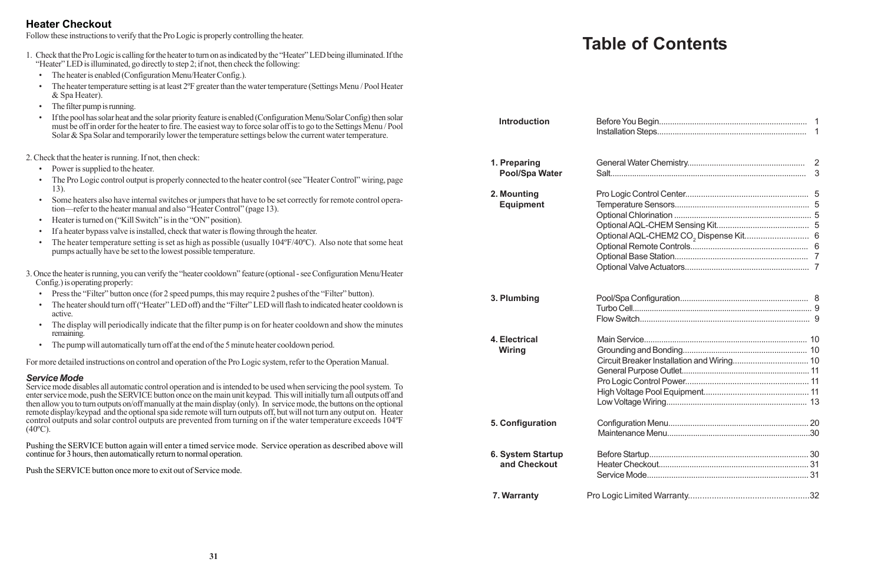# **Table of Contents**

| <b>Introduction</b>                   |                                                                                                                                  |  |
|---------------------------------------|----------------------------------------------------------------------------------------------------------------------------------|--|
| 1. Preparing<br><b>Pool/Spa Water</b> |                                                                                                                                  |  |
| 2. Mounting<br><b>Equipment</b>       |                                                                                                                                  |  |
| 3. Plumbing                           |                                                                                                                                  |  |
| 4. Electrical<br>Wiring               | $\mathbf{H} = \mathbf{H} \times \mathbf{H} \times \mathbf{H} = \mathbf{H} \times \mathbf{H} \times \mathbf{H} \times \mathbf{H}$ |  |

| <b>Introduction</b>                   | Before You Begin<br>Installation Steps                                                                                                                                                                                     |
|---------------------------------------|----------------------------------------------------------------------------------------------------------------------------------------------------------------------------------------------------------------------------|
| 1. Preparing<br><b>Pool/Spa Water</b> | General Water Chemistry                                                                                                                                                                                                    |
| 2. Mounting<br><b>Equipment</b>       | Pro Logic Control Center<br>Temperature Sensors<br>Optional Chlorination<br>Optional AQL-CHEM Sensi<br>Optional AQL-CHEM2 CO <sub>2</sub><br>Optional Remote Controls<br>Optional Base Station<br>Optional Valve Actuators |
| 3. Plumbing                           | Pool/Spa Configuration<br>Turbo Cell<br>Flow Switch                                                                                                                                                                        |
| 4. Electrical<br>Wiring               | Main Service<br>Grounding and Bonding<br><b>Circuit Breaker Installation a</b><br>General Purpose Outlet<br>Pro Logic Control Power<br><b>High Voltage Pool Equipme</b><br>Low Voltage Wiring                              |
| 5. Configuration                      | Configuration Menu                                                                                                                                                                                                         |

| 5. Configuration  |  |
|-------------------|--|
|                   |  |
| 6. System Startup |  |
| and Checkout      |  |
|                   |  |
| 7. Warranty       |  |

- Power is supplied to the heater.
- The Pro Logic control output is properly connected to the heater control (see "Heater Control" wiring, page 13).
- Some heaters also have internal switches or jumpers that have to be set correctly for remote control operation—refer to the heater manual and also "Heater Control" (page 13).
- Heater is turned on ("Kill Switch" is in the "ON" position).
- If a heater bypass valve is installed, check that water is flowing through the heater.
- The heater temperature setting is set as high as possible (usually 104°F/40°C). Also note that some heat pumps actually have be set to the lowest possible temperature.
- 3. Once the heater is running, you can verify the "heater cooldown" feature (optional see Configuration Menu/Heater Config.) is operating properly:
	- Press the "Filter" button once (for 2 speed pumps, this may require 2 pushes of the "Filter" button).
	- The heater should turn off ("Heater" LED off) and the "Filter" LED will flash to indicated heater cooldown is active.
	- The display will periodically indicate that the filter pump is on for heater cooldown and show the minutes remaining.
	- The pump will automatically turn off at the end of the 5 minute heater cooldown period.

Service mode disables all automatic control operation and is intended to be used when servicing the pool system. To enter service mode, push the SERVICE button once on the main unit keypad. This will initially turn all outputs off and then allow you to turn outputs on/off manually at the main display (only). In service mode, the buttons on the optional remote display/keypad and the optional spa side remote will turn outputs off, but will not turn any output on. Heater control outputs and solar control outputs are prevented from turning on if the water temperature exceeds 104ºF  $(40^{\circ}C)$ .

#### **Heater Checkout**

Follow these instructions to verify that the Pro Logic is properly controlling the heater.

| 1. Check that the Pro Logic is calling for the heater to turn on as indicated by the "Heater" LED being illuminated. If the |
|-----------------------------------------------------------------------------------------------------------------------------|
| "Heater" LED is illuminated, go directly to step 2; if not, then check the following:                                       |

- The heater is enabled (Configuration Menu/Heater Config.).
- The heater temperature setting is at least 2ºF greater than the water temperature (Settings Menu / Pool Heater & Spa Heater).
- The filter pump is running.
- If the pool has solar heat and the solar priority feature is enabled (Configuration Menu/Solar Config) then solar must be off in order for the heater to fire. The easiest way to force solar off is to go to the Settings Menu / Pool Solar & Spa Solar and temporarily lower the temperature settings below the current water temperature.

2. Check that the heater is running. If not, then check:

For more detailed instructions on control and operation of the Pro Logic system, refer to the Operation Manual.

#### *Service Mode*

Pushing the SERVICE button again will enter a timed service mode. Service operation as described above will continue for 3 hours, then automatically return to normal operation.

Push the SERVICE button once more to exit out of Service mode.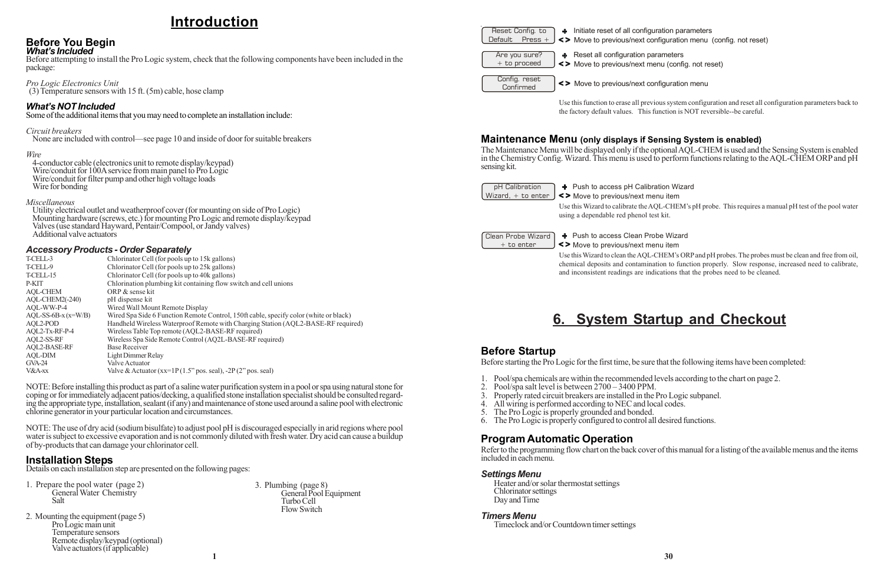## **Introduction**

#### **Before You Begin** *What's Included*

Before attempting to install the Pro Logic system, check that the following components have been included in the package:

#### *Pro Logic Electronics Unit*

(3) Temperature sensors with 15 ft. (5m) cable, hose clamp

#### *What's NOT Included*

Some of the additional items that you may need to complete an installation include:

#### *Circuit breakers*

None are included with control—see page 10 and inside of door for suitable breakers

#### *Wire*

4-conductor cable (electronics unit to remote display/keypad) Wire/conduit for 100A service from main panel to Pro Logic Wire/conduit for filter pump and other high voltage loads Wire for bonding

#### *Miscellaneous*

Utility electrical outlet and weatherproof cover (for mounting on side of Pro Logic) Mounting hardware (screws, etc.) for mounting Pro Logic and remote display/keypad Valves (use standard Hayward, Pentair/Compool, or Jandy valves) Additional valve actuators

#### *Accessory Products - Order Separately*

| T-CELL-3             | Chlorinator Cell (for pools up to 15k gallons)                                        |
|----------------------|---------------------------------------------------------------------------------------|
| T-CELL-9             | Chlorinator Cell (for pools up to 25k gallons)                                        |
| T-CELL-15            | Chlorinator Cell (for pools up to 40k gallons)                                        |
| P-KIT                | Chlorination plumbing kit containing flow switch and cell unions                      |
| <b>AQL-CHEM</b>      | ORP & sense kit                                                                       |
| AQL-CHEM2(-240)      | pH dispense kit                                                                       |
| AQL-WW-P-4           | Wired Wall Mount Remote Display                                                       |
| $AQL-SS-6B-x(x=W/B)$ | Wired Spa Side 6 Function Remote Control, 150ft cable, specify color (white or black) |
| AQL2-POD             | Handheld Wireless Waterproof Remote with Charging Station (AQL2-BASE-RF required)     |
| AQL2-Tx-RF-P-4       | Wireless Table Top remote (AQL2-BASE-RF required)                                     |
| AOL2-SS-RF           | Wireless Spa Side Remote Control (AQ2L-BASE-RF required)                              |
| <b>AQL2-BASE-RF</b>  | <b>Base Receiver</b>                                                                  |
| AOL-DIM              | Light Dimmer Relay                                                                    |
| $GVA-24$             | Valve Actuator                                                                        |
| V&A-xx               | Valve & Actuator (xx=1P(1.5" pos. seal), $-2P(2"$ pos. seal)                          |

Clean Probe Wizard  $+$  to enter

# + Push to access Clean Probe Wizard Move to previous/next menu item

NOTE: Before installing this product as part of a saline water purification system in a pool or spa using natural stone for coping or for immediately adjacent patios/decking, a qualified stone installation specialist should be consulted regarding the appropriate type, installation, sealant (if any) and maintenance of stone used around a saline pool with electronic chlorine generator in your particular location and circumstances.

NOTE: The use of dry acid (sodium bisulfate) to adjust pool pH is discouraged especially in arid regions where pool water is subject to excessive evaporation and is not commonly diluted with fresh water. Dry acid can cause a buildup of by-products that can damage your chlorinator cell.

#### **Installation Steps**

Details on each installation step are presented on the following pages:

- 1. Prepare the pool water (page 2) General Water Chemistry Salt
- 2. Mounting the equipment (page 5) Pro Logic main unit Temperature sensors Remote display/keypad (optional) Valve actuators (if applicable)

|                                 | Reset Config. to<br>Default Press + <> Move to previous/next configured Reset <> Move to previous/next contract contract contract contract contract contract contract contract contract contract contract contract contract cont |
|---------------------------------|----------------------------------------------------------------------------------------------------------------------------------------------------------------------------------------------------------------------------------|
|                                 |                                                                                                                                                                                                                                  |
| Are you sure?<br>$+$ to proceed | + Reset all configuration pa<br><> Move to previous/next m                                                                                                                                                                       |
| Config. reset<br>Confirmed      | <> Move to previous/next co                                                                                                                                                                                                      |

Use this function to erase all previous system configuration and reset all configuration parameters back to the factory default values. This function is NOT reversible--be careful.

#### **Maintenance Menu (only displays if Sensing System is enabled)**

The Maintenance Menu will be displayed only if the optional AQL-CHEM is used and the Sensing System is enabled in the Chemistry Config. Wizard. This menu is used to perform functions relating to the AQL-CHEM ORP and pH sensing kit.

pH Calibration

Wizard,  $+$  to enter  $\bigcup$  <> Move to previous/next menu item + Push to access pH Calibration Wizard

Use this Wizard to calibrate the AQL-CHEM's pH probe. This requires a manual pH test of the pool water using a dependable red phenol test kit.

Use this Wizard to clean the AQL-CHEM's ORP and pH probes. The probes must be clean and free from oil, chemical deposits and contamination to function properly. Slow response, increased need to calibrate, and inconsistent readings are indications that the probes need to be cleaned.

## **6. System Startup and Checkout**

#### **Before Startup**

Before starting the Pro Logic for the first time, be sure that the following items have been completed:

- 1. Pool/spa chemicals are within the recommended levels according to the chart on page 2.
- 2. Pool/spa salt level is between 2700 3400 PPM.
- 3. Properly rated circuit breakers are installed in the Pro Logic subpanel.
- 4. All wiring is performed according to NEC and local codes.<br>5. The Pro Logic is properly grounded and bonded.
- The Pro Logic is properly grounded and bonded.
- 6. The Pro Logic is properly configured to control all desired functions.

#### **Program Automatic Operation**

Refer to the programming flow chart on the back cover of this manual for a listing of the available menus and the items included in each menu.

#### *Settings Menu*

Heater and/or solar thermostat settings Chlorinator settings Day and Time

#### *Timers Menu*

Timeclock and/or Countdown timer settings

uration parameters onfiguration menu (config. not reset)

arameters nenu (config. not reset)

configuration menu

3. Plumbing (page 8) General Pool Equipment Turbo Cell Flow Switch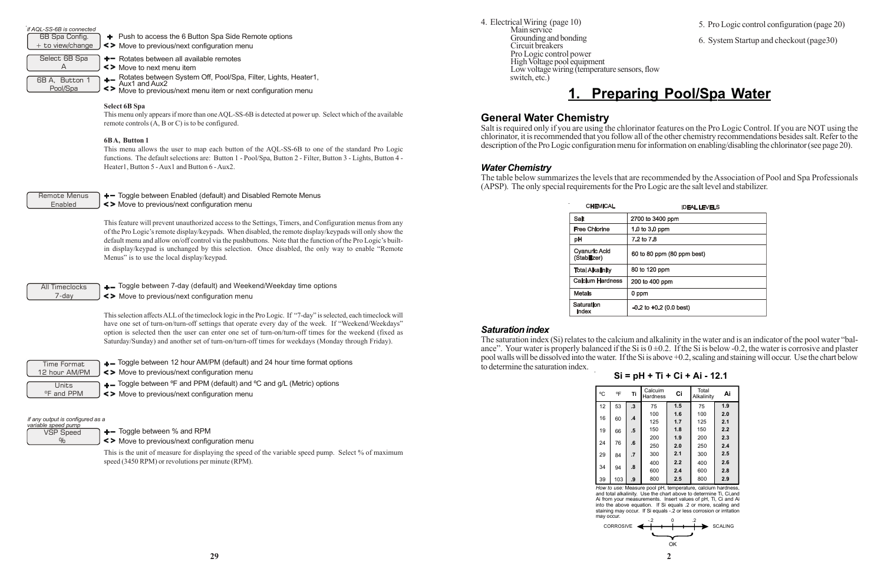Grounding and bonding Circuit breakers

Pro Logic control power High Voltage pool equipment

Low voltage wiring (temperature sensors, flow

switch, etc.)

and total alkalinity. Use the chart above to determine Ti, Ci,and Ai from your measurements. Insert values of pH, Ti, Ci and Ai into the above equation. If Si equals .2 or more, scaling and staining may occur. If Si equals -.2 or less corrosion or irritation

| 31 = DH + 11 + 61 + A1 - 12.1                               |     |                         |                     |     |                     |     |  |  |  |  |  |  |
|-------------------------------------------------------------|-----|-------------------------|---------------------|-----|---------------------|-----|--|--|--|--|--|--|
| °C                                                          | ٥F  | Τi                      | Calcuim<br>Hardness | Ci  | Total<br>Alkalinity | Ai  |  |  |  |  |  |  |
| 12                                                          | 53  | $\cdot$ 3               | 75                  | 1.5 | 75                  | 1.9 |  |  |  |  |  |  |
|                                                             |     |                         | 100                 | 1.6 | 100                 | 2.0 |  |  |  |  |  |  |
| 16                                                          | 60  | $\mathbf{.4}$           | 125                 | 1.7 | 125                 | 2.1 |  |  |  |  |  |  |
| 19                                                          | 66  | $.5\,$                  | 150                 | 1.8 | 150                 | 2.2 |  |  |  |  |  |  |
|                                                             |     |                         | 200                 | 1.9 | 200                 | 2.3 |  |  |  |  |  |  |
| 24                                                          | 76  | $\overline{\mathbf{6}}$ | 250                 | 2.0 | 250                 | 2.4 |  |  |  |  |  |  |
| 29                                                          | 84  | $\overline{.7}$         | 300                 | 2.1 | 300                 | 2.5 |  |  |  |  |  |  |
|                                                             |     |                         | 400                 | 2.2 | 400                 | 2.6 |  |  |  |  |  |  |
| 34                                                          | 94  | $\boldsymbol{.8}$       | 600                 | 2.4 | 600                 | 2.8 |  |  |  |  |  |  |
| 39                                                          | 103 | .9                      | 800                 | 2.5 | 800                 | 2.9 |  |  |  |  |  |  |
| How to use: Measure pool pH, temperature, calcium hardness, |     |                         |                     |     |                     |     |  |  |  |  |  |  |

may occur.



VSP Speed  $\frac{1}{2}$ 

 $+$  Toggle between % and RPM

| if AQL-SS-6B is connected<br>6B Spa Config.<br>$+$ to view/change | + Push to access the 6 Button Spa Side Remote options<br><> Move to previous/next configuration menu                                                                                                                                                                                                                                                                                                                                                                                |
|-------------------------------------------------------------------|-------------------------------------------------------------------------------------------------------------------------------------------------------------------------------------------------------------------------------------------------------------------------------------------------------------------------------------------------------------------------------------------------------------------------------------------------------------------------------------|
| Select 6B Spa<br>A<br>6B A, Button 1<br>Pool/Spa                  | + - Rotates between all available remotes<br><> Move to next menu item<br>Rotates between System Off, Pool/Spa, Filter, Lights, Heater1,<br>Aux1 and Aux2<br>$+ -$<br>$\leq$<br>Move to previous/next menu item or next configuration menu                                                                                                                                                                                                                                          |
|                                                                   | <b>Select 6B Spa</b><br>This menu only appears if more than one AQL-SS-6B is detected at power up. Select which of the available<br>remote controls $(A, B \text{ or } C)$ is to be configured.                                                                                                                                                                                                                                                                                     |
|                                                                   | 6BA, Button 1<br>This menu allows the user to map each button of the AQL-SS-6B to one of the standard Pro Logic<br>functions. The default selections are: Button 1 - Pool/Spa, Button 2 - Filter, Button 3 - Lights, Button 4 -<br>Heater1, Button 5 - Aux1 and Button 6 - Aux2.                                                                                                                                                                                                    |
| Remote Menus<br>Enabled                                           | + Toggle between Enabled (default) and Disabled Remote Menus<br><> Move to previous/next configuration menu                                                                                                                                                                                                                                                                                                                                                                         |
|                                                                   | This feature will prevent unauthorized access to the Settings, Timers, and Configuration menus from any<br>of the Pro Logic's remote display/keypads. When disabled, the remote display/keypads will only show the<br>default menu and allow on/off control via the pushbuttons. Note that the function of the Pro Logic's built-<br>in display/keypad is unchanged by this selection. Once disabled, the only way to enable "Remote"<br>Menus" is to use the local display/keypad. |
| <b>All Timeclocks</b><br>7-day                                    | +- Toggle between 7-day (default) and Weekend/Weekday time options<br><> Move to previous/next configuration menu                                                                                                                                                                                                                                                                                                                                                                   |
|                                                                   | This selection affects ALL of the timeclock logic in the Pro Logic. If "7-day" is selected, each timeclock will<br>have one set of turn-on/turn-off settings that operate every day of the week. If "Weekend/Weekdays"                                                                                                                                                                                                                                                              |

option is selected then the user can enter one set of turn-on/turn-off times for the weekend (fixed as Saturday/Sunday) and another set of turn-on/turn-off times for weekdays (Monday through Friday).

+ Toggle between 12 hour AM/PM (default) and 24 hour time format options

+ Toggle between °F and PPM (default) and °C and g/L (Metric) options

Time Format 12 hour AM/PM

Move to previous/next configuration menu

Move to previous/next configuration menu

Move to previous/next configuration menu

#### *if any output is configured as a variable speed pump*

This is the unit of measure for displaying the speed of the variable speed pump. Select % of maximum speed (3450 RPM) or revolutions per minute (RPM).

- 5. Pro Logic control configuration (page 20)
- 6. System Startup and checkout (page30)

## **1. Preparing Pool/Spa Water**

**General Water Chemistry**

Salt is required only if you are using the chlorinator features on the Pro Logic Control. If you are NOT using the chlorinator, it is recommended that you follow all of the other chemistry recommendations besides salt. Refer to the description of the Pro Logic configuration menu for information on enabling/disabling the chlorinator (see page 20).

*Water Chemistry*

The table below summarizes the levels that are recommended by the Association of Pool and Spa Professionals (APSP). The only special requirements for the Pro Logic are the salt level and stabilizer.

| <b>IDEAL LEVELS</b>         |  |  |  |  |  |
|-----------------------------|--|--|--|--|--|
| 2700 to 3400 ppm            |  |  |  |  |  |
| 1.0 to 3.0 ppm              |  |  |  |  |  |
| 7.2 to 7.8                  |  |  |  |  |  |
| 60 to 80 ppm (80 ppm best)  |  |  |  |  |  |
| 80 to 120 ppm               |  |  |  |  |  |
| 200 to 400 ppm              |  |  |  |  |  |
| 0 ppm                       |  |  |  |  |  |
| $-0.2$ to $+0.2$ (0.0 best) |  |  |  |  |  |

 $Si = pH + Ti + Ci + Ai$  42.1

#### *Saturation index*

4. Electrical Wiring (page 10) Main service

The saturation index (Si) relates to the calcium and alkalinity in the water and is an indicator of the pool water "balance". Your water is properly balanced if the Si is  $0 \pm 0.2$ . If the Si is below -0.2, the water is corrosive and plaster pool walls will be dissolved into the water. If the Si is above +0.2, scaling and staining will occur. Use the chart below to determine the saturation index.

**CHEMICAL** 

**Free Chlorine** 

**Cyanuric Acid** 

**Total Alkalinity Calcium Hardness** 

(Stabilizer)

**Metals** 

Index

Saturation

Salt

pH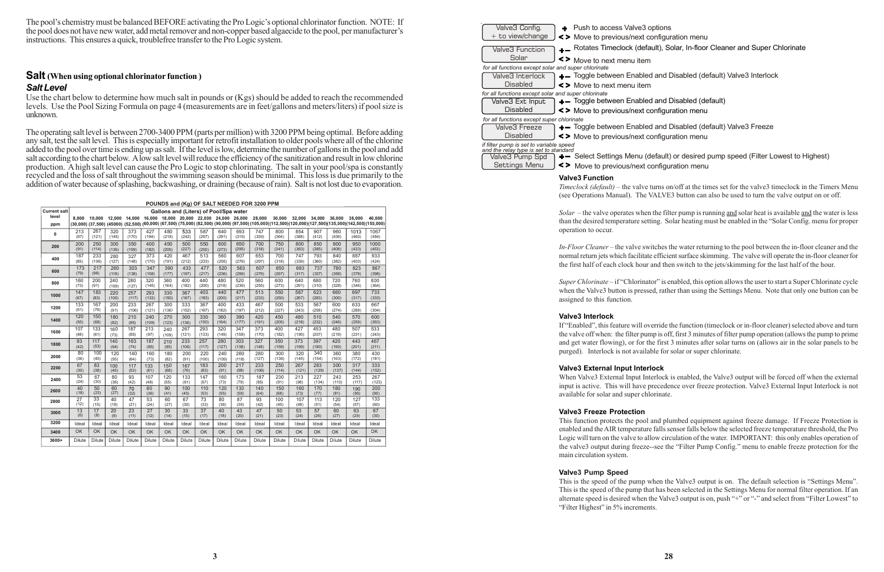| POUNDS and (Kg) OF SALT NEEDED FOR 3200 PPM |           |        |           |                 |                 |                                                  |           |        |           |        |                                                                                                                                                                   |           |           |               |           |           |           |
|---------------------------------------------|-----------|--------|-----------|-----------------|-----------------|--------------------------------------------------|-----------|--------|-----------|--------|-------------------------------------------------------------------------------------------------------------------------------------------------------------------|-----------|-----------|---------------|-----------|-----------|-----------|
| <b>Current salt</b>                         |           |        |           |                 |                 | Gallons and (Liters) of Pool/Spa water           |           |        |           |        |                                                                                                                                                                   |           |           |               |           |           |           |
| level                                       | 8.000     | 10.000 | 12.000    |                 |                 | 14,000 16,000 18,000 20,000 22,000 24,000 26,000 |           |        |           |        | 28.000                                                                                                                                                            | 30,000    | 32.000    | 34.000        | 36,000    | 38,000    | 40.000    |
| ppm                                         |           |        |           |                 |                 |                                                  |           |        |           |        | (30,000) (37,500) (45000) (52,500) (60,000) (67,500) (75,000) (82,500) (90,000) (97,500) (105,000)(112,500)(120,000)(127,500)(135,000)(142,500)(142,500)(150,000) |           |           |               |           |           |           |
| 0                                           | 213       | 267    | 320       | 373             | 427             | 480                                              | 533       | 587    | 640       | 693    | 747                                                                                                                                                               | 800       | 854       | 907           | 960       | 1013      | 1067      |
|                                             | (97)      | (121)  | (145)     | (170)           | (194)           | (218)                                            | (242)     | (267)  | (291)     | (315)  | (339)                                                                                                                                                             | (364)     | (388)     | (412)         | (436)     | (460)     | (484)     |
| 200                                         | 200       | 250    | 300       | 350             | 400             | 450                                              | 500       | 550    | 600       | 650    | 700                                                                                                                                                               | 750       | 800       | 850           | 900       | 950       | 1000      |
|                                             | (91)      | (114)  | (136)     | (159)           | (182)           | (205)                                            | (227)     | (250)  | (273)     | (295)  | (318)                                                                                                                                                             | (341)     | (363)     | (385)         | (408)     | (430)     | (453)     |
| 400                                         | 187       | 233    | 280       | 327             | 373             | 420                                              | 467       | 513    | 560       | 607    | 653                                                                                                                                                               | 700       | 747       | 793           | 840       | 887       | 933       |
|                                             | (85)      | (106)  | (127)     | (148)           | (170)           | (191)                                            | (212)     | (233)  | (255)     | (276)  | (297)                                                                                                                                                             | (318)     | (339)     | (360)         | (382)     | (403)     | (424)     |
| 600                                         | 173       | 217    | 260       | 303             | 347             | 390                                              | 433       | 477    | 520       | 563    | 607                                                                                                                                                               | 650       | 693       | 737           | 780       | 823       | 867       |
|                                             | (79)      | (98)   | (118)     | (138)           | (158)           | (177)                                            | (197)     | (217)  | (236)     | (256)  | (276)                                                                                                                                                             | (297)     | (317)     | (337)         | (358)     | (378)     | (398)     |
| 800                                         | 160       | 200    | 240       | 280             | 320             | 360                                              | 400       | 440    | 480       | 520    | 560                                                                                                                                                               | 600       | 640       | 680           | 720       | 760       | 800       |
|                                             | (73)      | (91)   | (109)     | (127)           | (145)           | (164)                                            | (182)     | (200)  | (218)     | (236)  | (255)                                                                                                                                                             | (273)     | (291)     | (310)         | (328)     | (346)     | (364)     |
| 1000                                        | 147       | 183    | 220       | 257             | 293             | 330                                              | 367       | 403    | 440       | 477    | 513                                                                                                                                                               | 550       | 587       | 623           | 660       | 697       | 733       |
|                                             | (67)      | (83)   | (100)     | (117)           | (133)           | (150)                                            | (167)     | (183)  | (200)     | (217)  | (233)                                                                                                                                                             | (250)     | (267)     | (283)         | (300)     | (317)     | (333)     |
| 1200                                        | 133       | 167    | 200       | 233             | 267             | 300                                              | 333       | 367    | 400       | 433    | 467                                                                                                                                                               | 500       | 533       | 567           | 600       | 633       | 667       |
|                                             | (61)      | (76)   | (91)      | (106)           | (121)           | (136)                                            | (152)     | (167)  | (182)     | (197)  | (212)                                                                                                                                                             | (227)     | (243)     | (258)         | (274)     | (289)     | (304)     |
| 1400                                        | 120       | 150    | 180       | 210             | 240             | 270                                              | 300       | 330    | 360       | 390    | 420                                                                                                                                                               | 450       | 480       | 510           | 540       | 570       | 600       |
|                                             | (55)      | (68)   | (82)      | (95)            | (109)           | (123)                                            | (136)     | (150)  | (164)     | (177)  | (191)                                                                                                                                                             | (205)     | (218)     | (232)         | (246)     | (259)     | (263)     |
| 1600                                        | 107       | 133    | 160       | 187             | 213             | 240                                              | 267       | 293    | 320       | 347    | 373                                                                                                                                                               | 400       | 427       | 453           | 480       | 507       | 533       |
|                                             | (48)      | (61)   | (73)      | (85)            | (97)            | (109)                                            | (121)     | (133)  | (145)     | (158)  | (170)                                                                                                                                                             | (182)     | (195)     | (207)         | (219)     | (231)     | (243)     |
| 1800                                        | 93        | 117    | 140       | 163             | 187             | 210                                              | 233       | 257    | 280       | 303    | 327                                                                                                                                                               | 350       | 373       | 397           | 420       | 443       | 467       |
|                                             | (42)      | (53)   | (64)      | (74)            | (85)            | (95)                                             | (106)     | (117)  | (127)     | (138)  | (148)                                                                                                                                                             | (159)     | (169)     | (180)         | (190)     | (201)     | (211)     |
| 2000                                        | 80        | 100    | 120       | 140             | 160             | 180                                              | 200       | 220    | 240       | 260    | 280                                                                                                                                                               | 300       | 320       | 340           | 360       | 380       | 400       |
|                                             | (36)      | (45)   | (55)      | (64)            | (73)            | (82)                                             | (91)      | (100)  | (109)     | (118)  | (127)                                                                                                                                                             | (136)     | (145)     | (154)         | (163)     | (172)     | (181)     |
| 2200                                        | 67        | 83     | 100       | 117             | 133             | 150                                              | 167       | 183    | 200       | 217    | 233                                                                                                                                                               | 250       | 267       | 283           | 300       | 317       | 333       |
|                                             | (30)      | (38)   | (45)      | (53)            | (61)            | (68)                                             | (76)      | (83)   | (91)      | (98)   | (106)                                                                                                                                                             | (114)     | (121)     | (129)         | (137)     | (144)     | (152)     |
| 2400                                        | 53        | 67     | 80        | 93              | 107             | 120                                              | 133       | 147    | 160       | 173    | 187                                                                                                                                                               | 200       | 213       | 227           | 240       | 253       | 267       |
|                                             | (24)      | (30)   | (36)      | (42)            | (48)            | (55)                                             | (61)      | (67)   | (73)      | (79)   | (85)                                                                                                                                                              | (91)      | (98)      | (104)         | (110)     | (117)     | (123)     |
| 2600                                        | 40        | 50     | 60        | 70              | 80              | 90                                               | 100       | 110    | 120       | 130    | 140                                                                                                                                                               | 150       | 160       | 170           | 180       | 190       | 200       |
|                                             | (18)      | (23)   | (27)      | (32)            | (36)            | (41)                                             | (45)      | (50)   | (55)      | (59)   | (64)                                                                                                                                                              | (68)      | (73)      | (77)          | (81)      | (86)      | (90)      |
| 2800                                        | 27        | 33     | 40        | 47              | 53              | 60                                               | 67        | 73     | 80        | 87     | 93                                                                                                                                                                | 100       | 107       | 113           | 120       | 127       | 133       |
|                                             | (12)      | (15)   | (18)      | (21)            | (24)            | (27)                                             | (30)      | (33)   | (36)      | (39)   | (42)                                                                                                                                                              | (45)      | (48)      | (51)          | (54)      | (57)      | (60)      |
| 3000                                        | 13        | 17     | 20        | $\overline{23}$ | $\overline{27}$ | 30                                               | 33        | 37     | 40        | 43     | 47                                                                                                                                                                | 50        | 53        | 57            | 60        | 63        | 67        |
|                                             | (6)       | (8)    | (9)       | (11)            | (12)            | (14)                                             | (15)      | (17)   | (18)      | (20)   | (21)                                                                                                                                                              | (23)      | (24)      | (26)          | (27)      | (29)      | (30)      |
| 3200                                        | Ideal     | Ideal  | Ideal     | Ideal           | Ideal           | Ideal                                            | Ideal     | Ideal  | Ideal     | Ideal  | Ideal                                                                                                                                                             | Ideal     | Ideal     | Ideal         | Ideal     | Ideal     | Ideal     |
| 3400                                        | <b>OK</b> | OK     | <b>OK</b> | <b>OK</b>       | <b>OK</b>       | <b>OK</b>                                        | <b>OK</b> | OK     | <b>OK</b> | OK     | <b>OK</b>                                                                                                                                                         | <b>OK</b> | <b>OK</b> | <b>OK</b>     | <b>OK</b> | <b>OK</b> | <b>OK</b> |
| $3600+$                                     | Dilute    | Dilute | Dilute    | Dilute          | Dilute          | Dilute                                           | Dilute    | Dilute | Dilute    | Dilute | <b>Dilute</b>                                                                                                                                                     | Dilute    | Dilute    | <b>Dilute</b> | Dilute    | Dilute    | Dilute    |

Use the chart below to determine how much salt in pounds or (Kgs) should be added to reach the recommended levels. Use the Pool Sizing Formula on page 4 (measurements are in feet/gallons and meters/liters) if pool size is unknown.

> *Super Chlorinate* – if "Chlorinator" is enabled, this option allows the user to start a Super Chlorinate cycle when the Valve3 button is pressed, rather than using the Settings Menu. Note that only one button can be assigned to this function.

**FLA** Rotates Timeclock (default), Solar, In-floor Cleaner and Super Chlorinate

+- Toggle between Enabled and Disabled (default) Valve3 Interlock

+- Toggle between Enabled and Disabled (default) Valve3 Freeze

 $\leftarrow$  Select Settings Menu (default) or desired pump speed (Filter Lowest to Highest)

The pool's chemistry must be balanced BEFORE activating the Pro Logic's optional chlorinator function. NOTE: If the pool does not have new water, add metal remover and non-copper based algaecide to the pool, per manufacturer's instructions. This ensures a quick, troublefree transfer to the Pro Logic system.

#### **Salt (When using optional chlorinator function )** *Salt Level*

The operating salt level is between 2700-3400 PPM (parts per million) with 3200 PPM being optimal. Before adding any salt, test the salt level. This is especially important for retrofit installation to older pools where all of the chlorine added to the pool over time is ending up as salt. If the level is low, determine the number of gallons in the pool and add salt according to the chart below. A low salt level will reduce the efficiency of the sanitization and result in low chlorine production. A high salt level can cause the Pro Logic to stop chlorinating. The salt in your pool/spa is constantly recycled and the loss of salt throughout the swimming season should be minimal. This loss is due primarily to the addition of water because of splashing, backwashing, or draining (because of rain). Salt is not lost due to evaporation.



*Timeclock (default)* – the valve turns on/off at the times set for the valve3 timeclock in the Timers Menu (see Operations Manual). The VALVE3 button can also be used to turn the valve output on or off.

*Solar* – the valve operates when the filter pump is running and solar heat is available and the water is less than the desired temperature setting. Solar heating must be enabled in the "Solar Config. menu for proper operation to occur.

*In-Floor Cleaner* – the valve switches the water returning to the pool between the in-floor cleaner and the normal return jets which facilitate efficient surface skimming. The valve will operate the in-floor cleaner for the first half of each clock hour and then switch to the jets/skimming for the last half of the hour.

#### **Valve3 Interlock**

If "Enabled", this feature will override the function (timeclock or in-floor cleaner) selected above and turn the valve off when: the filter pump is off, first 3 minutes of filter pump operation (allows the pump to prime and get water flowing), or for the first 3 minutes after solar turns on (allows air in the solar panels to be purged). Interlock is not available for solar or super chlorinate.

#### **Valve3 External Input Interlock**

When Valve3 External Input Interlock is enabled, the Valve3 output will be forced off when the external input is active. This will have precedence over freeze protection. Valve3 External Input Interlock is not available for solar and super chlorinate.

#### **Valve3 Freeze Protection**

This function protects the pool and plumbed equipment against freeze damage. If Freeze Protection is enabled and the AIR temperature falls sensor falls below the selected freeze temperature threshold, the Pro Logic will turn on the valve to allow circulation of the water. IMPORTANT: this only enables operation of the valve3 output during freeze--see the "Filter Pump Config." menu to enable freeze protection for the main circulation system.

#### **Valve3 Pump Speed**

This is the speed of the pump when the Valve3 output is on. The default selection is "Settings Menu". This is the speed of the pump that has been selected in the Settings Menu for normal filter operation. If an alternate speed is desired when the Valve3 output is on, push "+" or "-" and select from "Filter Lowest" to "Filter Highest" in 5% increments.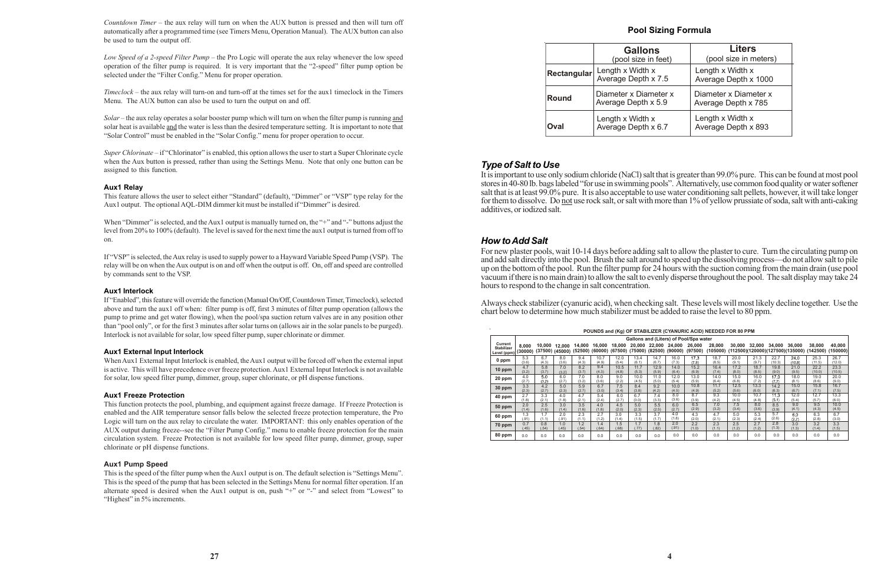*Countdown Timer* – the aux relay will turn on when the AUX button is pressed and then will turn off automatically after a programmed time (see Timers Menu, Operation Manual). The AUX button can also be used to turn the output off.

*Low Speed of a 2-speed Filter Pump* – the Pro Logic will operate the aux relay whenever the low speed operation of the filter pump is required. It is very important that the "2-speed" filter pump option be selected under the "Filter Config." Menu for proper operation.

*Timeclock* – the aux relay will turn-on and turn-off at the times set for the aux1 timeclock in the Timers Menu. The AUX button can also be used to turn the output on and off.

When "Dimmer" is selected, and the Aux1 output is manually turned on, the "+" and "-" buttons adjust the level from 20% to 100% (default). The level is saved for the next time the aux1 output is turned from off to on.

*Solar* – the aux relay operates a solar booster pump which will turn on when the filter pump is running and solar heat is available and the water is less than the desired temperature setting. It is important to note that "Solar Control" must be enabled in the "Solar Config." menu for proper operation to occur.

*Super Chlorinate* – if "Chlorinator" is enabled, this option allows the user to start a Super Chlorinate cycle when the Aux button is pressed, rather than using the Settings Menu. Note that only one button can be assigned to this function.

#### **Aux1 Relay**

This feature allows the user to select either "Standard" (default), "Dimmer" or "VSP" type relay for the Aux1 output. The optional AQL-DIM dimmer kit must be installed if "Dimmer" is desired.

This is the speed of the filter pump when the Aux1 output is on. The default selection is "Settings Menu". This is the speed of the pump that has been selected in the Settings Menu for normal filter operation. If an alternate speed is desired when the Aux1 output is on, push "+" or "-" and select from "Lowest" to "Highest" in 5% increments.

If "VSP" is selected, the Aux relay is used to supply power to a Hayward Variable Speed Pump (VSP). The relay will be on when the Aux output is on and off when the output is off. On, off and speed are controlled by commands sent to the VSP.

#### **Aux1 Interlock**

If "Enabled", this feature will override the function (Manual On/Off, Countdown Timer, Timeclock), selected above and turn the aux1 off when: filter pump is off, first 3 minutes of filter pump operation (allows the pump to prime and get water flowing), when the pool/spa suction return valves are in any position other than "pool only", or for the first 3 minutes after solar turns on (allows air in the solar panels to be purged). Interlock is not available for solar, low speed filter pump, super chlorinate or dimmer.

#### **Aux1 External Input Interlock**

When Aux1 External Input Interlock is enabled, the Aux1 output will be forced off when the external input is active. This will have precedence over freeze protection. Aux1 External Input Interlock is not available for solar, low speed filter pump, dimmer, group, super chlorinate, or pH dispense functions.

#### **Aux1 Freeze Protection**

This function protects the pool, plumbing, and equipment against freeze damage. If Freeze Protection is enabled and the AIR temperature sensor falls below the selected freeze protection temperature, the Pro Logic will turn on the aux relay to circulate the water. IMPORTANT: this only enables operation of the AUX output during freeze--see the "Filter Pump Config." menu to enable freeze protection for the main circulation system. Freeze Protection is not available for low speed filter pump, dimmer, group, super chlorinate or pH dispense functions.

#### **Aux1 Pump Speed**

#### **Pool Sizing Formula**

#### *Type of Salt to Use*

It is important to use only sodium chloride (NaCl) salt that is greater than 99.0% pure. This can be found at most pool stores in 40-80 lb. bags labeled "for use in swimming pools". Alternatively, use common food quality or water softener salt that is at least 99.0% pure. It is also acceptable to use water conditioning salt pellets, however, it will take longer for them to dissolve. Do not use rock salt, or salt with more than 1% of yellow prussiate of soda, salt with anti-caking additives, or iodized salt.

#### *How to Add Salt*

For new plaster pools, wait 10-14 days before adding salt to allow the plaster to cure. Turn the circulating pump on and add salt directly into the pool. Brush the salt around to speed up the dissolving process—do not allow salt to pile up on the bottom of the pool. Run the filter pump for 24 hours with the suction coming from the main drain (use pool vacuum if there is no main drain) to allow the salt to evenly disperse throughout the pool. The salt display may take 24 hours to respond to the change in salt concentration.

Always check stabilizer (cyanuric acid), when checking salt. These levels will most likely decline together. Use the chart below to determine how much stabilizer must be added to raise the level to 80 ppm.

|              | <b>Gallons</b><br>(pool size in feet)        | <b>Liters</b><br>(pool size in meters)       |
|--------------|----------------------------------------------|----------------------------------------------|
| Rectangular  | Length x Width x<br>Average Depth x 7.5      | Length x Width x<br>Average Depth x 1000     |
| <b>Round</b> | Diameter x Diameter x<br>Average Depth x 5.9 | Diameter x Diameter x<br>Average Depth x 785 |
| <b>Oval</b>  | Length x Width x<br>Average Depth x 6.7      | Length x Width x<br>Average Depth x 893      |

|                                             | POUNDS and (Kg) OF STABILIZER (CYANURIC ACID) NEEDED FOR 80 PPM |                   |                   |                   |                   |                   |                   |                   |                   |                                        |                    |        |                             |                     |                    |                    |                    |
|---------------------------------------------|-----------------------------------------------------------------|-------------------|-------------------|-------------------|-------------------|-------------------|-------------------|-------------------|-------------------|----------------------------------------|--------------------|--------|-----------------------------|---------------------|--------------------|--------------------|--------------------|
|                                             |                                                                 |                   |                   |                   |                   |                   |                   |                   |                   | Gallons and (Liters) of Pool/Spa water |                    |        |                             |                     |                    |                    |                    |
| Current<br><b>Stabilizer</b><br>Level (ppm) | 8.000<br>(30000)                                                | 10.000<br>(37500) | 12.000<br>(45000) | 14.000<br>(52500) | 16.000<br>(60000) | 18,000<br>(67500) | 20.000<br>(75000) | 22.000<br>(82500) | 24.000<br>(90000) | 26,000<br>(97500)                      | 28.000<br>(105000) | 30.000 | 32.000<br>(112500)(120000)( | 34.000<br>(127500)( | 36,000<br>(135000) | 38,000<br>(142500) | 40,000<br>(150000) |
| 0 ppm                                       | 5.3                                                             | 6.7               | 8.0               | 9.4               | 10.7              | 12.0              | 13.4              | 14.7              | 16.0              | 17.3                                   | 18.7               | 20.0   | 21.3                        | 22.7                | 24.0               | 25.3               | 26.7               |
|                                             | (3.6)                                                           | (4.3)             | (3.6)             | (4.3)             | (4.9)             | (5.4)             | (6.1)             | (6.7)             | (7.3)             | (7.9)                                  | (8.5)              | (9.1)  | (9.7)                       | (10.3)              | (10.9)             | (11.5)             | (12.0)             |
| $10$ ppm                                    | 4.7                                                             | 5.8               | 7.0               | 8.2               | 9.4               | 10.5              | 11.7              | 12.9              | 14.0              | 15.2                                   | 16.4               | 17.2   | 18.7                        | 19.8                | 21.0               | 22.2               | 23.3               |
|                                             | (3.2)                                                           | (3.7)             | (3.2)             | (3.7)             | (4.3)             | (4.8)             | (5.3)             | (5.9)             | (6.4)             | (6.9)                                  | (7.4)              | (8.0)  | (8.5)                       | (9.0)               | (9.5)              | (10.0)             | (10.5)             |
| 20 ppm                                      | 4.0                                                             | 5.0               | 6.0               | 7.0               | 8.0               | 9.0               | 10.0              | 11.0              | 12.0              | 13.0                                   | 14.0               | 15.0   | 16.0                        | 17.0                | 18.0               | 19.0               | 20.0               |
|                                             | (2.7)                                                           | (3.2)             | (2.7)             | (3.2)             | (3.6)             | (2.2)             | (4.5)             | (5.0)             | (5.4)             | (5.9)                                  | (6.4)              | (6.8)  | (7.2)                       | (7.7)               | (8.1)              | (8.6)              | (9.0)              |
| 30 ppm                                      | 3.3                                                             | 4.2               | 5.0               | 5.9               | 6.7               | 7.5               | 8.4               | 9.2               | 10.0              | 10.8                                   | 11.7               | 12.5   | 13.3                        | 14.2                | 15.0               | 15.8               | 16.7               |
|                                             | (2.3)                                                           | (2.7)             | (2.3)             | (2.7)             | (3.0)             | (3.4)             | (3.8)             | (4.2)             | (4.5)             | (4.9)                                  | (5.2)              | (5.6)  | (6.0)                       | (6.3)               | (6.7)              | (7.1)              | (7.5)              |
| 40 ppm                                      | 2.7                                                             | 3.3               | 4.0               | 4.7               | 5.4               | 6.0               | 6.7               | 7.4               | 8.0               | 8.7                                    | 9.3                | 10.0   | 10.7                        | 11.3                | 12.0               | 12.7               | 13.3               |
|                                             | (1.8)                                                           | (2.1)             | (1.8)             | (2.1)             | (2.4)             | (2.7)             | (3.0)             | (3.3)             | (3.6)             | (3.9)                                  | (4.2)              | (4.5)  | (4.8)                       | (5.1)               | (5.4)              | (5.7)              | (6.0)              |
| 50 ppm                                      | 2.0                                                             | 2.5               | 3.0               | 3.5               | 4.0               | 4.5               | 5.0               | 5.5               | 6.0               | 6.5                                    | 7.0                | 7.5    | 8.0                         | 8.5                 | 9.0                | 9.5                | 10.0               |
|                                             | (1.4)                                                           | (1.6)             | (1.4)             | (1.6)             | (1.8)             | (2.0)             | (2.3)             | (2.5)             | (2.7)             | (2.9)                                  | (3.2)              | (3.4)  | (3.6)                       | (3.9)               | (4.1)              | (4.3)              | (4.5)              |
| 60 ppm                                      | 1.3                                                             | 1.7               | 2.0               | 2.3               | 2.7               | 3.0               | 3.3               | 3.7               | 4.0               | 4.3                                    | 4.7                | 5.0    | 5.3                         | 5.7                 | 6.0                | 6.3                | 6.7                |
|                                             | (.91)                                                           | (1.1)             | (.91)             | (1.1)             | (1.2)             | (1.4)             | (1.5)             | (1.7)             | (1.8)             | (2.0)                                  | (2.1)              | (2.3)  | (2.4)                       | (2.6)               | (2.7)              | (2.8)              | (3.0)              |
| 70 ppm                                      | 0.7                                                             | 0.8               | 1.0               | 1.2               | 1.4               | 1.5               | 1.7               | .8                | 2.0               | 2.2                                    | 2.3                | 2.5    | 2.7                         | 2.8                 | 3.0                | 3.2                | 3.3                |
|                                             | (.45)                                                           | (.54)             | (.45)             | (.54)             | (.64)             | (.68)             | (.77)             | .82)              | (.91)             | (1.0)                                  | (1.1)              | (1.2)  | (1.2)                       | (1.3)               | (1.3)              | (1.4)              | (1.5)              |
| 80 ppm                                      | 0.0                                                             | 0.0               | 0.0               | 0.0               | 0.0               | 0.0               | 0.0               | 0.0               | 0.0               | 0.0                                    | 0.0                | 0.0    | 0.0                         | 0.0                 | 0.0                | 0.0                | 0.0                |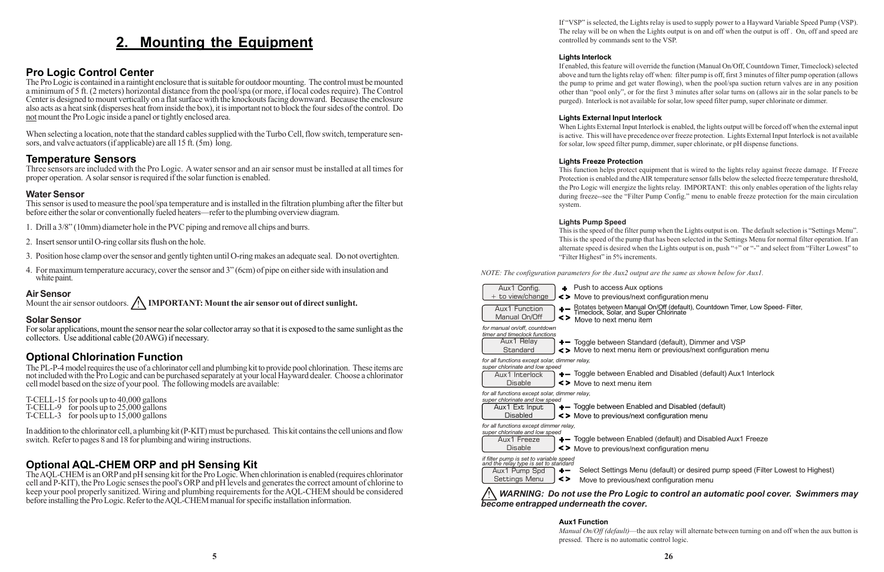## **2. Mounting the Equipment**

### **Pro Logic Control Center**

The Pro Logic is contained in a raintight enclosure that is suitable for outdoor mounting. The control must be mounted a minimum of 5 ft. (2 meters) horizontal distance from the pool/spa (or more, if local codes require). The Control Center is designed to mount vertically on a flat surface with the knockouts facing downward. Because the enclosure also acts as a heat sink (disperses heat from inside the box), it is important not to block the four sides of the control. Do not mount the Pro Logic inside a panel or tightly enclosed area.

When selecting a location, note that the standard cables supplied with the Turbo Cell, flow switch, temperature sensors, and valve actuators (if applicable) are all 15 ft. (5m) long.

#### **Temperature Sensors**

Three sensors are included with the Pro Logic. A water sensor and an air sensor must be installed at all times for proper operation. A solar sensor is required if the solar function is enabled.

#### **Water Sensor**

This sensor is used to measure the pool/spa temperature and is installed in the filtration plumbing after the filter but before either the solar or conventionally fueled heaters—refer to the plumbing overview diagram.

- 1. Drill a 3/8" (10mm) diameter hole in the PVC piping and remove all chips and burrs.
- 2. Insert sensor until O-ring collar sits flush on the hole.
- 3. Position hose clamp over the sensor and gently tighten until O-ring makes an adequate seal. Do not overtighten.
- 4. For maximum temperature accuracy, cover the sensor and 3" (6cm) of pipe on either side with insulation and white paint.

#### **Air Sensor**

Mount the air sensor outdoors. *A* **IMPORTANT: Mount the air sensor out of direct sunlight.** 

#### **Solar Sensor**

For solar applications, mount the sensor near the solar collector array so that it is exposed to the same sunlight as the collectors. Use additional cable (20 AWG) if necessary.

#### **Optional Chlorination Function**

The PL-P-4 model requires the use of a chlorinator cell and plumbing kit to provide pool chlorination. These items are not included with the Pro Logic and can be purchased separately at your local Hayward dealer. Choose a chlorinator cell model based on the size of your pool. The following models are available:

T-CELL-15 for pools up to 40,000 gallons T-CELL-9 for pools up to 25,000 gallons T-CELL-3 for pools up to 15,000 gallons

In addition to the chlorinator cell, a plumbing kit (P-KIT) must be purchased. This kit contains the cell unions and flow switch. Refer to pages 8 and 18 for plumbing and wiring instructions.

#### **Optional AQL-CHEM ORP and pH Sensing Kit**

+- Toggle between Standard (default), Dimmer and VSP Move to next menu item or previous/next configuration menu

 $+$  Toggle between Enabled and Disabled (default) Aux1 Interlock

+- Toggle between Enabled (default) and Disabled Aux1 Freeze

The AQL-CHEM is an ORP and pH sensing kit for the Pro Logic. When chlorination is enabled (requires chlorinator cell and P-KIT), the Pro Logic senses the pool's ORP and pH levels and generates the correct amount of chlorine to keep your pool properly sanitized. Wiring and plumbing requirements for the AQL-CHEM should be considered before installing the Pro Logic. Refer to the AQL-CHEM manual for specific installation information.

If "VSP" is selected, the Lights relay is used to supply power to a Hayward Variable Speed Pump (VSP). The relay will be on when the Lights output is on and off when the output is off . On, off and speed are controlled by commands sent to the VSP.

#### **Lights Interlock**

If enabled, this feature will override the function (Manual On/Off, Countdown Timer, Timeclock) selected above and turn the lights relay off when: filter pump is off, first 3 minutes of filter pump operation (allows the pump to prime and get water flowing), when the pool/spa suction return valves are in any position other than "pool only", or for the first 3 minutes after solar turns on (allows air in the solar panels to be purged). Interlock is not available for solar, low speed filter pump, super chlorinate or dimmer.

#### **Lights External Input Interlock**

When Lights External Input Interlock is enabled, the lights output will be forced off when the external input is active. This will have precedence over freeze protection. Lights External Input Interlock is not available for solar, low speed filter pump, dimmer, super chlorinate, or pH dispense functions.

#### **Lights Freeze Protection**

This function helps protect equipment that is wired to the lights relay against freeze damage. If Freeze Protection is enabled and the AIR temperature sensor falls below the selected freeze temperature threshold, the Pro Logic will energize the lights relay. IMPORTANT: this only enables operation of the lights relay during freeze--see the "Filter Pump Config." menu to enable freeze protection for the main circulation system.

#### **Lights Pump Speed**

This is the speed of the filter pump when the Lights output is on. The default selection is "Settings Menu". This is the speed of the pump that has been selected in the Settings Menu for normal filter operation. If an alternate speed is desired when the Lights output is on, push "+" or "-" and select from "Filter Lowest" to "Filter Highest" in 5% increments.

*NOTE: The configuration parameters for the Aux2 output are the same as shown below for Aux1.*

Select Settings Menu (default) or desired pump speed (Filter Lowest to Highest)



#### ! *WARNING: Do not use the Pro Logic to control an automatic pool cover. Swimmers may*

#### **Aux1 Function**

*Manual On/Off (default)*—the aux relay will alternate between turning on and off when the aux button is pressed. There is no automatic control logic.

+ Rotates between Manual On/Off (default), Countdown Timer, Low Speed- Filter, Timeclock, Solar, and Super Chlorinate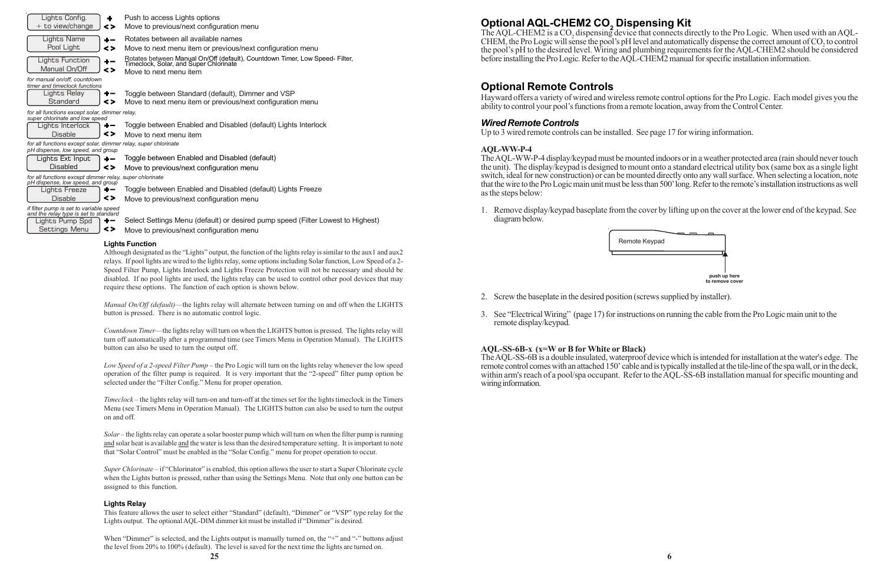## **Optional AQL-CHEM2 CO2 Dispensing Kit**

The AQL-CHEM2 is a  $CO<sub>2</sub>$  dispensing device that connects directly to the Pro Logic. When used with an AQL-CHEM, the Pro Logic will sense the pool's pH level and automatically dispense the correct amount of  $CO<sub>2</sub>$  to control the pool's pH to the desired level. Wiring and plumbing requirements for the AQL-CHEM2 should be considered before installing the Pro Logic. Refer to the AQL-CHEM2 manual for specific installation information.

#### **Optional Remote Controls**

Hayward offers a variety of wired and wireless remote control options for the Pro Logic. Each model gives you the ability to control your pool's functions from a remote location, away from the Control Center.

#### *Wired Remote Controls*

Up to 3 wired remote controls can be installed. See page 17 for wiring information.

#### **AQL-WW-P-4**

The AQL-WW-P-4 display/keypad must be mounted indoors or in a weather protected area (rain should never touch the unit). The display/keypad is designed to mount onto a standard electrical utility box (same box as a single light switch, ideal for new construction) or can be mounted directly onto any wall surface. When selecting a location, note that the wire to the Pro Logic main unit must be less than 500' long. Refer to the remote's installation instructions as well as the steps below:

1. Remove display/keypad baseplate from the cover by lifting up on the cover at the lower end of the keypad. See

diagram below.

Remote Key

- 2. Screw the baseplate in the desired position (screws supplied by installer).
- remote display/keypad.

3. See "Electrical Wiring" (page 17) for instructions on running the cable from the Pro Logic main unit to the

**AQL-SS-6B-x (x=W or B for White or Black)** The AQL-SS-6B is a double insulated, waterproof device which is intended for installation at the water's edge. The remote control comes with an attached 150' cable and is typically installed at the tile-line of the spa wall, or in the deck, within arm's reach of a pool/spa occupant. Refer to the AQL-SS-6B installation manual for specific mounting and wiring information.

*Super Chlorinate* – if "Chlorinator" is enabled, this option allows the user to start a Super Chlorinate cycle when the Lights button is pressed, rather than using the Settings Menu. Note that only one button can be assigned to this function.

| Lights Config.<br>٠<br>+ to view/change<br>$\leq$                                                   | Push to access Lights options<br>Move to previous/next configuration menu                                                                     |
|-----------------------------------------------------------------------------------------------------|-----------------------------------------------------------------------------------------------------------------------------------------------|
| <b>Lights Name</b><br>+–<br>Pool Light<br>$\leq$                                                    | Rotates between all available names<br>Move to next menu item or previous/next configuration menu                                             |
| Lights Function<br>$\div$ $-$<br>Manual On/Off<br>$\leq$                                            | Rotates between Manual On/Off (default), Countdown Timer, Low Speed- Filter, Timeclock, Solar, and Super Chlorinate<br>Move to next menu item |
| for manual on/off, countdown<br>timer and timeclock functions                                       |                                                                                                                                               |
| Lights Relay<br>+-<br>Standard<br><>                                                                | Toggle between Standard (default), Dimmer and VSP<br>Move to next menu item or previous/next configuration menu                               |
| for all functions except solar, dimmer relay,<br>super chlorinate and low speed                     |                                                                                                                                               |
| Lights Interlock                                                                                    | Toggle between Enabled and Disabled (default) Lights Interlock                                                                                |
| $\leq$<br><b>Disable</b>                                                                            | Move to next menu item                                                                                                                        |
| for all functions except solar, dimmer relay, super chlorinate<br>pH dispense, low speed, and group |                                                                                                                                               |
| Lights Ext Input<br>+–                                                                              | Toggle between Enabled and Disabled (default)                                                                                                 |
| <b>Disabled</b><br><>                                                                               | Move to previous/next configuration menu                                                                                                      |
| for all functions except dimmer relay, super chlorinate<br>pH dispense, low speed, and group        |                                                                                                                                               |
| Lights Freeze<br>┿╼                                                                                 | Toggle between Enabled and Disabled (default) Lights Freeze                                                                                   |
| $\leq$<br><b>Disable</b>                                                                            | Move to previous/next configuration menu                                                                                                      |
| if filter pump is set to variable speed<br>and the relay type is set to standard                    |                                                                                                                                               |
| Lights Pump Spd<br>$\div$ $-$                                                                       | Select Settings Menu (default) or desired pump speed (Filter Lowest to Highest)                                                               |
| <><br>Settings Menu                                                                                 | Move to previous/next configuration menu                                                                                                      |

When "Dimmer" is selected, and the Lights output is manually turned on, the "+" and "-" buttons adjust the level from 20% to 100% (default). The level is saved for the next time the lights are turned on.

#### **Lights Function**

Although designated as the "Lights" output, the function of the lights relay is similar to the aux1 and aux2 relays. If pool lights are wired to the lights relay, some options including Solar function, Low Speed of a 2- Speed Filter Pump, Lights Interlock and Lights Freeze Protection will not be necessary and should be disabled. If no pool lights are used, the lights relay can be used to control other pool devices that may require these options. The function of each option is shown below.

*Manual On/Off (default)*—the lights relay will alternate between turning on and off when the LIGHTS button is pressed. There is no automatic control logic.

*Countdown Timer*—the lights relay will turn on when the LIGHTS button is pressed. The lights relay will turn off automatically after a programmed time (see Timers Menu in Operation Manual). The LIGHTS button can also be used to turn the output off.

*Low Speed of a 2-speed Filter Pump* – the Pro Logic will turn on the lights relay whenever the low speed operation of the filter pump is required. It is very important that the "2-speed" filter pump option be selected under the "Filter Config." Menu for proper operation.

*Timeclock* – the lights relay will turn-on and turn-off at the times set for the lights timeclock in the Timers Menu (see Timers Menu in Operation Manual). The LIGHTS button can also be used to turn the output on and off.

*Solar* – the lights relay can operate a solar booster pump which will turn on when the filter pump is running and solar heat is available and the water is less than the desired temperature setting. It is important to note that "Solar Control" must be enabled in the "Solar Config." menu for proper operation to occur.

#### **Lights Relay**

This feature allows the user to select either "Standard" (default), "Dimmer" or "VSP" type relay for the Lights output. The optional AQL-DIM dimmer kit must be installed if "Dimmer" is desired.

| ypad؛ |                 |              |
|-------|-----------------|--------------|
|       |                 |              |
|       |                 |              |
|       |                 |              |
|       | to remove cover | push up here |
|       |                 |              |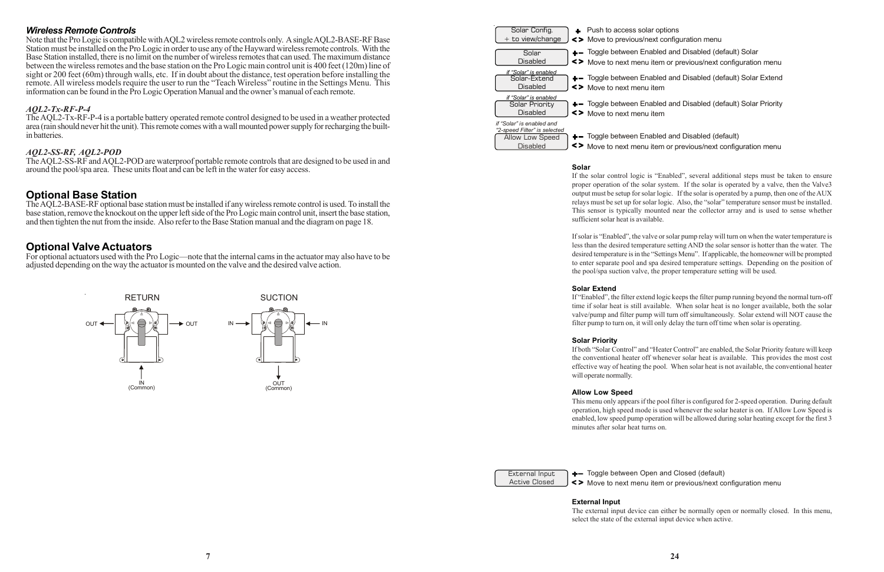#### *Wireless Remote Controls*

Note that the Pro Logic is compatible with AQL2 wireless remote controls only. A single AQL2-BASE-RF Base Station must be installed on the Pro Logic in order to use any of the Hayward wireless remote controls. With the Base Station installed, there is no limit on the number of wireless remotes that can used. The maximum distance between the wireless remotes and the base station on the Pro Logic main control unit is 400 feet (120m) line of sight or 200 feet (60m) through walls, etc. If in doubt about the distance, test operation before installing the remote. All wireless models require the user to run the "Teach Wireless" routine in the Settings Menu. This information can be found in the Pro Logic Operation Manual and the owner's manual of each remote.

#### *AQL2-Tx-RF-P-4*

The AQL2-Tx-RF-P-4 is a portable battery operated remote control designed to be used in a weather protected area (rain should never hit the unit). This remote comes with a wall mounted power supply for recharging the builtin batteries.

#### *AQL2-SS-RF, AQL2-POD*

The AQL2-SS-RF and AQL2-POD are waterproof portable remote controls that are designed to be used in and around the pool/spa area. These units float and can be left in the water for easy access.

+- Toggle between Enabled and Disabled (default) Move to next menu item or previous/next configuration menu

#### **Optional Base Station**

The AQL2-BASE-RF optional base station must be installed if any wireless remote control is used. To install the base station, remove the knockout on the upper left side of the Pro Logic main control unit, insert the base station, and then tighten the nut from the inside. Also refer to the Base Station manual and the diagram on page 18.

#### **Optional Valve Actuators**

For optional actuators used with the Pro Logic—note that the internal cams in the actuator may also have to be adjusted depending on the way the actuator is mounted on the valve and the desired valve action.



+- Toggle between Open and Closed (default) Move to next menu item or previous/next configuration menu

**Solar**

**Disabled** 

If the solar control logic is "Enabled", several additional steps must be taken to ensure proper operation of the solar system. If the solar is operated by a valve, then the Valve3 output must be setup for solar logic. If the solar is operated by a pump, then one of the AUX relays must be set up for solar logic. Also, the "solar" temperature sensor must be installed. This sensor is typically mounted near the collector array and is used to sense whether sufficient solar heat is available.

If solar is "Enabled", the valve or solar pump relay will turn on when the water temperature is less than the desired temperature setting AND the solar sensor is hotter than the water. The desired temperature is in the "Settings Menu". If applicable, the homeowner will be prompted to enter separate pool and spa desired temperature settings. Depending on the position of the pool/spa suction valve, the proper temperature setting will be used.

#### **Solar Extend**

If "Enabled", the filter extend logic keeps the filter pump running beyond the normal turn-off time if solar heat is still available. When solar heat is no longer available, both the solar valve/pump and filter pump will turn off simultaneously. Solar extend will NOT cause the filter pump to turn on, it will only delay the turn off time when solar is operating.

#### **Solar Priority**

If both "Solar Control" and "Heater Control" are enabled, the Solar Priority feature will keep the conventional heater off whenever solar heat is available. This provides the most cost effective way of heating the pool. When solar heat is not available, the conventional heater will operate normally.

#### **Allow Low Speed**

This menu only appears if the pool filter is configured for 2-speed operation. During default operation, high speed mode is used whenever the solar heater is on. If Allow Low Speed is enabled, low speed pump operation will be allowed during solar heating except for the first 3 minutes after solar heat turns on.

| External Input       |  |
|----------------------|--|
| <b>Active Closed</b> |  |

## **External Input**

The external input device can either be normally open or normally closed. In this menu, select the state of the external input device when active.

- 
- +- Toggle between Enabled and Disabled (default) Solar Move to next menu item or previous/next configuration menu
- + Toggle between Enabled and Disabled (default) Solar Extend
- +- Toggle between Enabled and Disabled (default) Solar Priority

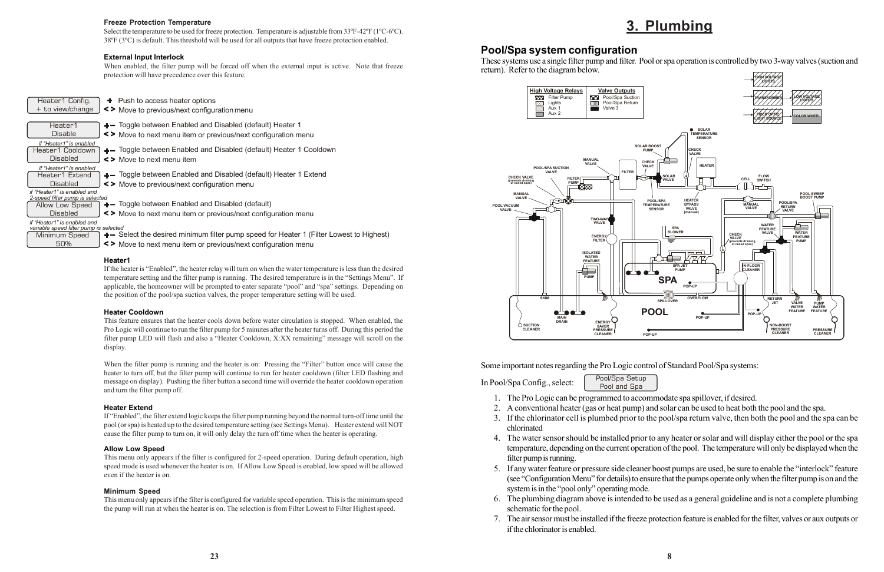## **3. Plumbing**

#### **Pool/Spa system configuration**

These systems use a single filter pump and filter. Pool or spa operation is controlled by two 3-way valves (suction and return). Refer to the diagram below.

Some important notes regarding the Pro Logic control of Standard Pool/Spa systems:

In Pool/Spa Config., select: Pool/Spa Setup

1. The Pro Logic can be programmed to accommodate spa spillover, if desired.

2. A conventional heater (gas or heat pump) and solar can be used to heat both the pool and the spa.

3. If the chlorinator cell is plumbed prior to the pool/spa return valve, then both the pool and the spa can be

4. The water sensor should be installed prior to any heater or solar and will display either the pool or the spa temperature, depending on the current operation of the pool. The temperature will only be displayed when the

- Pool and Spa
- 
- 
- chlorinated
- filter pump is running.
- system is in the "pool only" operating mode.
- schematic for the pool.
- if the chlorinator is enabled.

5. If any water feature or pressure side cleaner boost pumps are used, be sure to enable the "interlock" feature (see "Configuration Menu" for details) to ensure that the pumps operate only when the filter pump is on and the

6. The plumbing diagram above is intended to be used as a general guideline and is not a complete plumbing

7. The air sensor must be installed if the freeze protection feature is enabled for the filter, valves or aux outputs or

#### **Freeze Protection Temperature**

Select the temperature to be used for freeze protection. Temperature is adjustable from 33ºF-42ºF (1ºC-6ºC). 38ºF (3ºC) is default. This threshold will be used for all outputs that have freeze protection enabled.

#### **External Input Interlock**

When enabled, the filter pump will be forced off when the external input is active. Note that freeze protection will have precedence over this feature.

| Heater1 Config.<br>$+$ to view/change                                                         | $\div$ Push to access heater options<br><>Move to previous/next configuration menu                                                                      |
|-----------------------------------------------------------------------------------------------|---------------------------------------------------------------------------------------------------------------------------------------------------------|
| Heater1<br><b>Disable</b>                                                                     | $+$ Toggle between Enabled and Disabled (default) Heater 1<br><> Move to next menu item or previous/next configuration menu                             |
| if "Heater1" is enabled<br>Heater1 Cooldown<br>Disabled                                       | +- Toggle between Enabled and Disabled (default) Heater 1 Cooldown<br>$\leq$ Move to next menu item                                                     |
| if "Heater1" is enabled<br>Heater1 Extend<br>Disabled                                         | $\leftarrow$ Toggle between Enabled and Disabled (default) Heater 1 Extend<br><> Move to previous/next configuration menu                               |
| if "Heater1" is enabled and<br>2-speed filter pump is selected<br>Allow Low Speed<br>Disabled | +- Toggle between Enabled and Disabled (default)<br><> Move to next menu item or previous/next configuration menu                                       |
| if "Heater1" is enabled and<br>variable speed filter pump is selected<br>Minimum Speed<br>50% | + Select the desired minimum filter pump speed for Heater 1 (Filter Lowest to Highest)<br><> Move to next menu item or previous/next configuration menu |

Move to next menu item or previous/next configuration menu

#### **Heater1**

If the heater is "Enabled", the heater relay will turn on when the water temperature is less than the desired temperature setting and the filter pump is running. The desired temperature is in the "Settings Menu". If applicable, the homeowner will be prompted to enter separate "pool" and "spa" settings. Depending on the position of the pool/spa suction valves, the proper temperature setting will be used.

#### **Heater Cooldown**

This feature ensures that the heater cools down before water circulation is stopped. When enabled, the Pro Logic will continue to run the filter pump for 5 minutes after the heater turns off. During this period the filter pump LED will flash and also a "Heater Cooldown, X:XX remaining" message will scroll on the display.

When the filter pump is running and the heater is on: Pressing the "Filter" button once will cause the heater to turn off, but the filter pump will continue to run for heater cooldown (filter LED flashing and message on display). Pushing the filter button a second time will override the heater cooldown operation and turn the filter pump off.

#### **Heater Extend**

If "Enabled", the filter extend logic keeps the filter pump running beyond the normal turn-off time until the pool (or spa) is heated up to the desired temperature setting (see Settings Menu). Heater extend will NOT cause the filter pump to turn on, it will only delay the turn off time when the heater is operating.

#### **Allow Low Speed**

This menu only appears if the filter is configured for 2-speed operation. During default operation, high speed mode is used whenever the heater is on. If Allow Low Speed is enabled, low speed will be allowed even if the heater is on.

#### **Minimum Speed**

This menu only appears if the filter is configured for variable speed operation. This is the minimum speed the pump will run at when the heater is on. The selection is from Filter Lowest to Filter Highest speed.



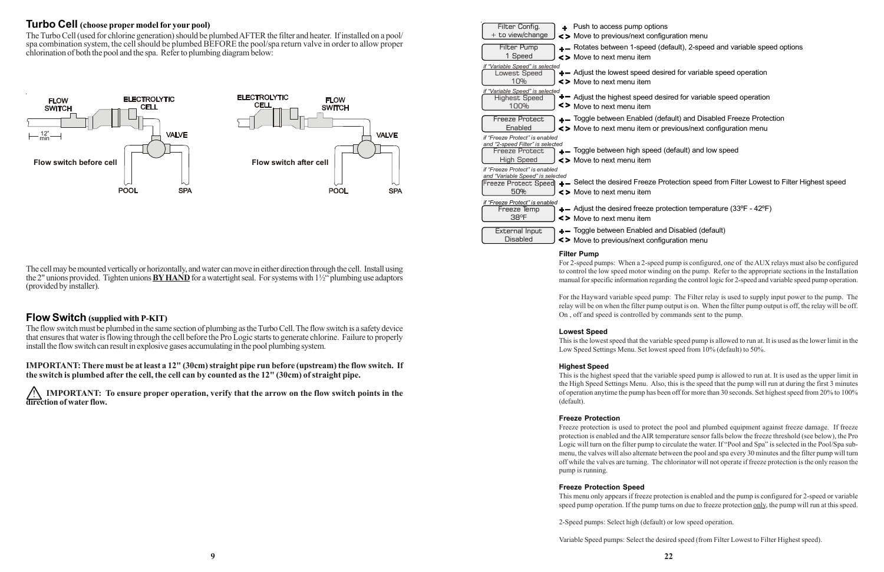#### **Turbo Cell (choose proper model for your pool)**

The Turbo Cell (used for chlorine generation) should be plumbed AFTER the filter and heater. If installed on a pool/ spa combination system, the cell should be plumbed BEFORE the pool/spa return valve in order to allow proper chlorination of both the pool and the spa. Refer to plumbing diagram below:

|                          | The cell may be mounted vertically or horizontally, and water can move in either direction through the cell. Install using           |  |
|--------------------------|--------------------------------------------------------------------------------------------------------------------------------------|--|
|                          | the 2" unions provided. Tighten unions <b>BY HAND</b> for a watertight seal. For systems with $1\frac{1}{2}$ " plumbing use adaptors |  |
| (provided by installer). |                                                                                                                                      |  |

#### **Flow Switch (supplied with P-KIT)**

The flow switch must be plumbed in the same section of plumbing as the Turbo Cell. The flow switch is a safety device that ensures that water is flowing through the cell before the Pro Logic starts to generate chlorine. Failure to properly install the flow switch can result in explosive gases accumulating in the pool plumbing system.

**IMPORTANT: There must be at least a 12" (30cm) straight pipe run before (upstream) the flow switch. If the switch is plumbed after the cell, the cell can by counted as the 12" (30cm) of straight pipe.**

! **IMPORTANT: To ensure proper operation, verify that the arrow on the flow switch points in the direction of water flow.**

ed and Disabled (default) Move to previous/next configuration menu

| Filter Config.<br>+ to view/change                                                                        | $+$ Push to access pump op<br><> Move to previous/next com                     |
|-----------------------------------------------------------------------------------------------------------|--------------------------------------------------------------------------------|
| Filter Pump<br>1 Speed                                                                                    | +- Rotates between 1-spee<br><> Move to next menu item                         |
| if "Variable Speed" is selected<br>Lowest Speed<br>10%                                                    | +- Adjust the lowest speed<br><> Move to next menu item                        |
| if "Variable Speed" is selected<br><b>Highest Speed</b><br>100%                                           | $\boldsymbol{+}-$ Adjust the highest speed<br><> Move to next menu item        |
| <b>Freeze Protect</b><br>Enabled                                                                          | +- Toggle between Enabled<br><> Move to next menu item                         |
| if "Freeze Protect" is enabled<br>and "2-speed Filter" is selected<br><b>Freeze Protect</b><br>High Speed | +- Toggle between high spe<br><> Move to next menu item                        |
| if "Freeze Protect" is enabled<br>and "Variable Speed" is selected<br>50%                                 | Freeze Protect Speed + - Select the desired Freez<br><> Move to next menu item |
| if "Freeze Protect" is enabled<br>Freeze Temp<br>38°F                                                     | $\leftarrow$ Adjust the desired freeze<br><> Move to next menu item            |
| External Input<br>Disabled                                                                                | +- Toggle between Enabled<br>$\leq$ Move to previous/next com-                 |

#### **Filter Pump**

For 2-speed pumps: When a 2-speed pump is configured, one of the AUX relays must also be configured to control the low speed motor winding on the pump. Refer to the appropriate sections in the Installation manual for specific information regarding the control logic for 2-speed and variable speed pump operation.

For the Hayward variable speed pump: The Filter relay is used to supply input power to the pump. The relay will be on when the filter pump output is on. When the filter pump output is off, the relay will be off. On , off and speed is controlled by commands sent to the pump.

#### **Lowest Speed**

This is the lowest speed that the variable speed pump is allowed to run at. It is used as the lower limit in the Low Speed Settings Menu. Set lowest speed from 10% (default) to 50%.

#### **Highest Speed**

This is the highest speed that the variable speed pump is allowed to run at. It is used as the upper limit in the High Speed Settings Menu. Also, this is the speed that the pump will run at during the first 3 minutes of operation anytime the pump has been off for more than 30 seconds. Set highest speed from 20% to 100% (default).

#### **Freeze Protection**

Freeze protection is used to protect the pool and plumbed equipment against freeze damage. If freeze protection is enabled and the AIR temperature sensor falls below the freeze threshold (see below), the Pro Logic will turn on the filter pump to circulate the water. If "Pool and Spa" is selected in the Pool/Spa submenu, the valves will also alternate between the pool and spa every 30 minutes and the filter pump will turn off while the valves are turning. The chlorinator will not operate if freeze protection is the only reason the pump is running.

#### **Freeze Protection Speed**

This menu only appears if freeze protection is enabled and the pump is configured for 2-speed or variable speed pump operation. If the pump turns on due to freeze protection only, the pump will run at this speed.

2-Speed pumps: Select high (default) or low speed operation.

Variable Speed pumps: Select the desired speed (from Filter Lowest to Filter Highest speed).

ptions ed (default), 2-speed and variable speed options ed (default) and Disabled Freeze Protection d desired for variable speed operation ed desired for variable speed operation configuration menu m or previous/next configuration menu peed (default) and low speed eze Protection speed from Filter Lowest to Filter Highest speed

ze protection temperature (33ºF - 42ºF)



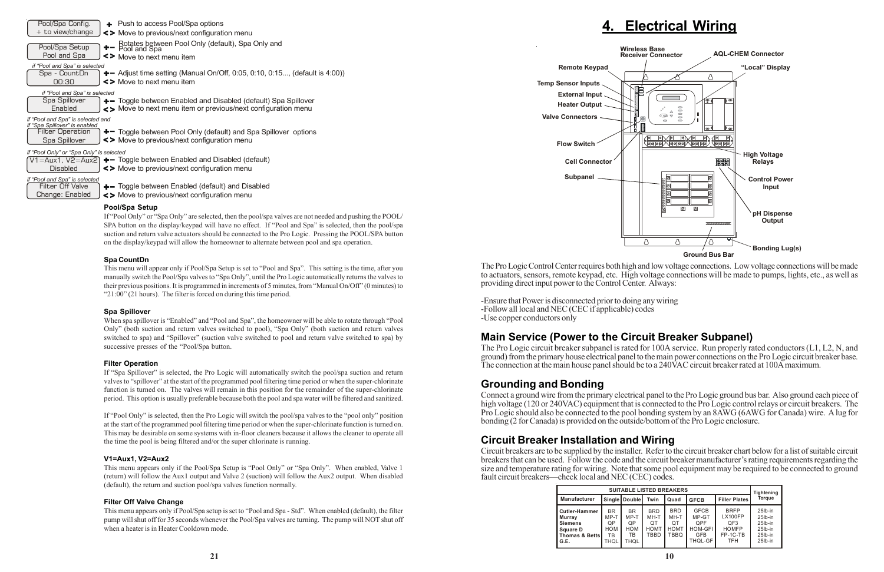## **4. Electrical Wiring**

The Pro Logic Control Center requires both high and low voltage connections. Low voltage connections will be made to actuators, sensors, remote keypad, etc. High voltage connections will be made to pumps, lights, etc., as well as providing direct input power to the Control Center. Always:

-Ensure that Power is disconnected prior to doing any wiring -Follow all local and NEC (CEC if applicable) codes -Use copper conductors only

## **Main Service (Power to the Circuit Breaker Subpanel)**

The Pro Logic circuit breaker subpanel is rated for 100A service. Run properly rated conductors (L1, L2, N, and ground) from the primary house electrical panel to the main power connections on the Pro Logic circuit breaker base. The connection at the main house panel should be to a 240VAC circuit breaker rated at 100A maximum.

#### **Grounding and Bonding**

Connect a ground wire from the primary electrical panel to the Pro Logic ground bus bar. Also ground each piece of high voltage (120 or 240VAC) equipment that is connected to the Pro Logic control relays or circuit breakers. The Pro Logic should also be connected to the pool bonding system by an 8AWG (6AWG for Canada) wire. A lug for bonding (2 for Canada) is provided on the outside/bottom of the Pro Logic enclosure.

## **Circuit Breaker Installation and Wiring**

Circuit breakers are to be supplied by the installer. Refer to the circuit breaker chart below for a list of suitable circuit breakers that can be used. Follow the code and the circuit breaker manufacturer's rating requirements regarding the size and temperature rating for wiring. Note that some pool equipment may be required to be connected to ground fault circuit breakers—check local and NEC (CEC) codes.

| Pool/Spa Config.<br>+ Push to access Pool/Spa options                                                                                                                                        |
|----------------------------------------------------------------------------------------------------------------------------------------------------------------------------------------------|
| $+$ to view/change<br><> Move to previous/next configuration menu                                                                                                                            |
| + - Rotates between Pool Only (default), Spa Only and<br>+ - Pool and Spa<br>Pool/Spa Setup<br>Pool and Spa<br><> Move to next menu item                                                     |
| if "Pool and Spa" is selected                                                                                                                                                                |
| Spa - CountDn<br>$+$ - Adjust time setting (Manual On/Off, 0:05, 0:10, 0:15, (default is 4:00))<br>00:30<br><> Move to next menu item                                                        |
| if "Pool and Spa" is selected                                                                                                                                                                |
| Spa Spillover<br>+ Toggle between Enabled and Disabled (default) Spa Spillover<br><> Move to next menu item or previous/next configuration menu<br>Enabled                                   |
| if "Pool and Spa" is selected and                                                                                                                                                            |
| if "Spa Spillover" is enabled<br>$+$ Toggle between Pool Only (default) and Spa Spillover options<br><b>Filter Operation</b><br><> Move to previous/next configuration menu<br>Spa Spillover |
| if "Pool Only" or "Spa Only" is selected                                                                                                                                                     |
| $\div$ Toggle between Enabled and Disabled (default)<br>$V1 = Aux1, V2 = Aux2$<br><> Move to previous/next configuration menu<br><b>Disabled</b>                                             |
| if "Pool and Spa" is selected                                                                                                                                                                |
| <b>Filter Off Valve</b><br>$\leftarrow$ Toggle between Enabled (default) and Disabled                                                                                                        |
| Change: Enabled<br><> Move to previous/next configuration menu                                                                                                                               |
| Dool/Cna Cotun                                                                                                                                                                               |

#### **Pool/Spa Setup**

If "Pool Only" or "Spa Only" are selected, then the pool/spa valves are not needed and pushing the POOL/ SPA button on the display/keypad will have no effect. If "Pool and Spa" is selected, then the pool/spa suction and return valve actuators should be connected to the Pro Logic. Pressing the POOL/SPA button on the display/keypad will allow the homeowner to alternate between pool and spa operation.

#### **Spa CountDn**

This menu will appear only if Pool/Spa Setup is set to "Pool and Spa". This setting is the time, after you manually switch the Pool/Spa valves to "Spa Only", until the Pro Logic automatically returns the valves to their previous positions. It is programmed in increments of 5 minutes, from "Manual On/Off" (0 minutes) to "21:00" (21 hours). The filter is forced on during this time period.

#### **Spa Spillover**

When spa spillover is "Enabled" and "Pool and Spa", the homeowner will be able to rotate through "Pool Only" (both suction and return valves switched to pool), "Spa Only" (both suction and return valves switched to spa) and "Spillover" (suction valve switched to pool and return valve switched to spa) by successive presses of the "Pool/Spa button.

#### **Filter Operation**

If "Spa Spillover" is selected, the Pro Logic will automatically switch the pool/spa suction and return valves to "spillover" at the start of the programmed pool filtering time period or when the super-chlorinate function is turned on. The valves will remain in this position for the remainder of the super-chlorinate period. This option is usually preferable because both the pool and spa water will be filtered and sanitized.

If "Pool Only" is selected, then the Pro Logic will switch the pool/spa valves to the "pool only" position at the start of the programmed pool filtering time period or when the super-chlorinate function is turned on. This may be desirable on some systems with in-floor cleaners because it allows the cleaner to operate all the time the pool is being filtered and/or the super chlorinate is running.

#### **V1=Aux1, V2=Aux2**

This menu appears only if the Pool/Spa Setup is "Pool Only" or "Spa Only". When enabled, Valve 1 (return) will follow the Aux1 output and Valve 2 (suction) will follow the Aux2 output. When disabled (default), the return and suction pool/spa valves function normally.

#### **Filter Off Valve Change**

This menu appears only if Pool/Spa setup is set to "Pool and Spa - Std". When enabled (default), the filter pump will shut off for 35 seconds whenever the Pool/Spa valves are turning. The pump will NOT shut off when a heater is in Heater Cooldown mode.



| <b>SUITABLE LISTED BREAKERS</b>                                                                          |                                                            |                                                     |                                                 |                                                 |                                                                        |                                                                                  | Tightening                                                     |
|----------------------------------------------------------------------------------------------------------|------------------------------------------------------------|-----------------------------------------------------|-------------------------------------------------|-------------------------------------------------|------------------------------------------------------------------------|----------------------------------------------------------------------------------|----------------------------------------------------------------|
| <b>Manufacturer</b>                                                                                      | <b>Single</b>                                              | <b>Double</b>                                       | Twin                                            | Quad                                            | <b>GFCB</b>                                                            | <b>Filler Plates</b>                                                             | Torque                                                         |
| <b>Cutler-Hammer</b><br>Murray<br><b>Siemens</b><br><b>Square D</b><br><b>Thomas &amp; Betts</b><br>G.E. | <b>BR</b><br>MP-T<br>QP<br><b>HOM</b><br>TB<br><b>THQL</b> | <b>BR</b><br>MP-T<br>OP<br><b>HOM</b><br>ТB<br>THQL | <b>BRD</b><br>MH-T<br>ОT<br><b>HOMT</b><br>TBBD | <b>BRD</b><br>MH-T<br>OТ<br><b>HOMT</b><br>TBBQ | <b>GFCB</b><br>MP-GT<br>OPF<br><b>HOM-GFI</b><br><b>GFB</b><br>THQL-GF | <b>BRFP</b><br><b>LX100FP</b><br>QF3<br><b>HOMFP</b><br>$FP-1C-TB$<br><b>TFH</b> | 25lb-in<br>25lb-in<br>25lb-in<br>25lb-in<br>25lb-in<br>25lb-in |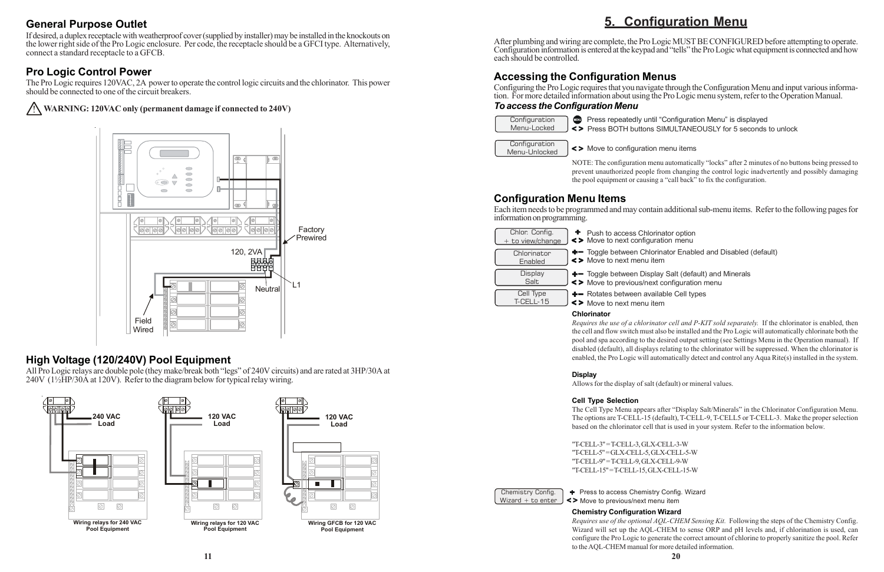## **General Purpose Outlet**

If desired, a duplex receptacle with weatherproof cover (supplied by installer) may be installed in the knockouts on the lower right side of the Pro Logic enclosure. Per code, the receptacle should be a GFCI type. Alternatively, connect a standard receptacle to a GFCB.

## **Pro Logic Control Power**

The Pro Logic requires 120VAC, 2A power to operate the control logic circuits and the chlorinator. This power should be connected to one of the circuit breakers.

#### ! **WARNING: 120VAC only (permanent damage if connected to 240V)**

#### **High Voltage (120/240V) Pool Equipment**

All Pro Logic relays are double pole (they make/break both "legs" of 240V circuits) and are rated at 3HP/30A at 240V (1½HP/30A at 120V). Refer to the diagram below for typical relay wiring.

**Press repeatedly until "Configuration Menu" is displayed** Press BOTH buttons SIMULTANEOUSLY for 5 seconds to unlock

auration menu lorinator option

- item Ilorinator Enabled and Disabled (default)
- splay Salt (default) and Minerals ext configuration menu
- vailable Cell types item

## **5. Configuration Menu**

After plumbing and wiring are complete, the Pro Logic MUST BE CONFIGURED before attempting to operate. Configuration information is entered at the keypad and "tells" the Pro Logic what equipment is connected and how each should be controlled.

#### **Accessing the Configuration Menus**

Configuring the Pro Logic requires that you navigate through the Configuration Menu and input various information. For more detailed information about using the Pro Logic menu system, refer to the Operation Manual.

#### *To access the Configuration Menu*



NOTE: The configuration menu automatically "locks" after 2 minutes of no buttons being pressed to prevent unauthorized people from changing the control logic inadvertently and possibly damaging the pool equipment or causing a "call back" to fix the configuration.

Chemistry Config. Wizard  $+$  to enter

+ Press to access Chemistry Config. Wizard Move to previous/next menu item

#### **Configuration Menu Items**

Each item needs to be programmed and may contain additional sub-menu items. Refer to the following pages for information on programming.

| Chlor. Config.<br>+ to view/change | + Push to access Chi<br><> Move to next config    |
|------------------------------------|---------------------------------------------------|
| Chlorinator<br>Enabled             | $+$ Toggle between Ch<br>$\leq$ Move to next menu |
| <b>Display</b><br>Salt             | +- Toggle between Dis<br><> Move to previous/n    |
| <b>Cell Type</b><br>T-CELL-15      | +- Rotates between av<br><> Move to next menu     |
|                                    |                                                   |

#### **Chlorinator**

*Requires the use of a chlorinator cell and P-KIT sold separately.* If the chlorinator is enabled, then the cell and flow switch must also be installed and the Pro Logic will automatically chlorinate both the pool and spa according to the desired output setting (see Settings Menu in the Operation manual). If disabled (default), all displays relating to the chlorinator will be suppressed. When the chlorinator is enabled, the Pro Logic will automatically detect and control any Aqua Rite(s) installed in the system.

#### **Display**

Allows for the display of salt (default) or mineral values.

#### **Cell Type Selection**

The Cell Type Menu appears after "Display Salt/Minerals" in the Chlorinator Configuration Menu. The options are T-CELL-15 (default), T-CELL-9, T-CELL5 or T-CELL-3. Make the proper selection based on the chlorinator cell that is used in your system. Refer to the information below.

"T-CELL-3" = T-CELL-3, GLX-CELL-3-W "T-CELL-5" = GLX-CELL-5, GLX-CELL-5-W "T-CELL-9" = T-CELL-9, GLX-CELL-9-W "T-CELL-15" = T-CELL-15, GLX-CELL-15-W

#### **Chemistry Configuration Wizard**

*Requires use of the optional AQL-CHEM Sensing Kit.* Following the steps of the Chemistry Config. Wizard will set up the AQL-CHEM to sense ORP and pH levels and, if chlorination is used, can configure the Pro Logic to generate the correct amount of chlorine to properly sanitize the pool. Refer to the AQL-CHEM manual for more detailed information.



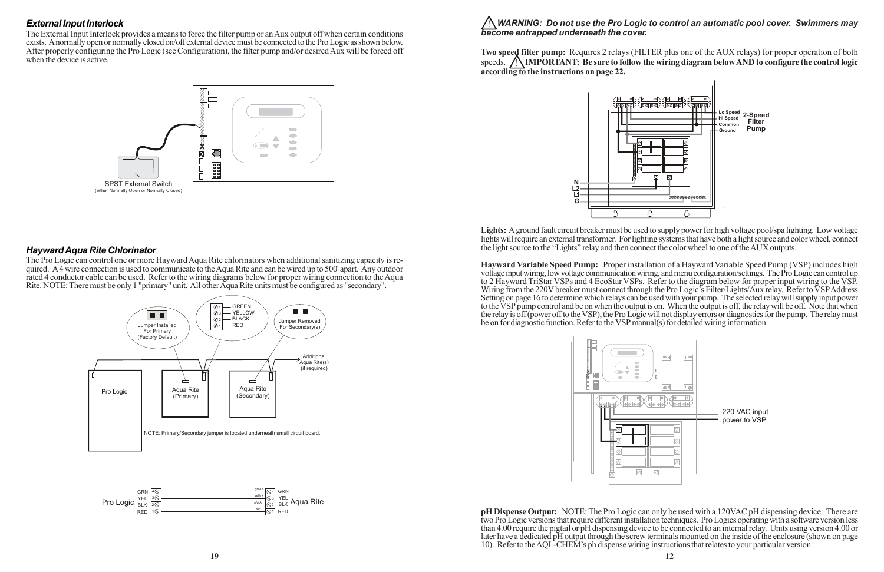# *become entrapped underneath the cover.*

**Two speed filter pump:** Requires 2 relays (FILTER plus one of the AUX relays) for proper operation of both speeds. **IN IMPORTANT:** Be sure to follow the wiring diagram below AND to configure the control logic **according to the instructions on page 22.**

**Lights:** A ground fault circuit breaker must be used to supply power for high voltage pool/spa lighting. Low voltage lights will require an external transformer. For lighting systems that have both a light source and color wheel, connect the light source to the "Lights" relay and then connect the color wheel to one of the AUX outputs.

**Hayward Variable Speed Pump:** Proper installation of a Hayward Variable Speed Pump (VSP) includes high voltage input wiring, low voltage communication wiring, and menu configuration/settings. The Pro Logic can control up to 2 Hayward TriStar VSPs and 4 EcoStar VSPs. Refer to the diagram below for proper input wiring to the VSP. Wiring from the 220V breaker must connect through the Pro Logic's Filter/Lights/Aux relay. Refer to VSP Address Setting on page 16 to determine which relays can be used with your pump. The selected relay will supply input power to the VSP pump control and be on when the output is on. When the output is off, the relay will be off. Note that when the relay is off (power off to the VSP), the Pro Logic will not display errors or diagnostics for the pump. The relay must be on for diagnostic function. Refer to the VSP manual(s) for detailed wiring information.



**pH Dispense Output:** NOTE: The Pro Logic can only be used with a 120VAC pH dispensing device. There are two Pro Logic versions that require different installation techniques. Pro Logics operating with a software version less than 4.00 require the pigtail or pH dispensing device to be connected to an internal relay. Units using version 4.00 or later have a dedicated pH output through the screw terminals mounted on the inside of the enclosure (shown on page 10). Refer to the AQL-CHEM's ph dispense wiring instructions that relates to your particular version.

#### *External Input Interlock*

The External Input Interlock provides a means to force the filter pump or an Aux output off when certain conditions exists. A normally open or normally closed on/off external device must be connected to the Pro Logic as shown below. After properly configuring the Pro Logic (see Configuration), the filter pump and/or desired Aux will be forced off when the device is active.



#### *Hayward Aqua Rite Chlorinator*

The Pro Logic can control one or more Hayward Aqua Rite chlorinators when additional sanitizing capacity is required. A 4 wire connection is used to communicate to the Aqua Rite and can be wired up to 500' apart. Any outdoor rated 4 conductor cable can be used. Refer to the wiring diagrams below for proper wiring connection to the Aqua Rite. NOTE: There must be only 1 "primary" unit. All other Aqua Rite units must be configured as "secondary".



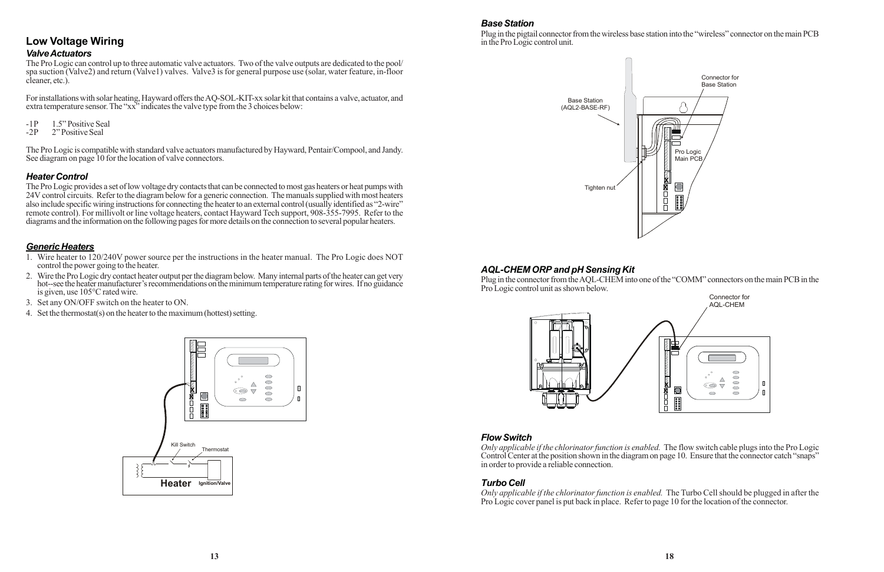#### **Low Voltage Wiring** *Valve Actuators*

The Pro Logic can control up to three automatic valve actuators. Two of the valve outputs are dedicated to the pool/ spa suction (Valve2) and return (Valve1) valves. Valve3 is for general purpose use (solar, water feature, in-floor cleaner, etc.).

For installations with solar heating, Hayward offers the AQ-SOL-KIT-xx solar kit that contains a valve, actuator, and extra temperature sensor. The "xx" indicates the valve type from the 3 choices below:

- -1P 1.5" Positive Seal<br>-2P 2" Positive Seal
- 2" Positive Seal

The Pro Logic is compatible with standard valve actuators manufactured by Hayward, Pentair/Compool, and Jandy. See diagram on page 10 for the location of valve connectors.

#### *Heater Control*

The Pro Logic provides a set of low voltage dry contacts that can be connected to most gas heaters or heat pumps with 24V control circuits. Refer to the diagram below for a generic connection. The manuals supplied with most heaters also include specific wiring instructions for connecting the heater to an external control (usually identified as "2-wire" remote control). For millivolt or line voltage heaters, contact Hayward Tech support, 908-355-7995. Refer to the diagrams and the information on the following pages for more details on the connection to several popular heaters.

#### *Generic Heaters*

- 1. Wire heater to 120/240V power source per the instructions in the heater manual. The Pro Logic does NOT control the power going to the heater.
- 2. Wire the Pro Logic dry contact heater output per the diagram below. Many internal parts of the heater can get very hot--see the heater manufacturer's recommendations on the minimum temperature rating for wires. If no guidance is given, use 105°C rated wire.
- 3. Set any ON/OFF switch on the heater to ON.
- 4. Set the thermostat(s) on the heater to the maximum (hottest) setting.



#### *Base Station*

Plug in the pigtail connector from the wireless base station into the "wireless" connector on the main PCB in the Pro Logic control unit.



#### *AQL-CHEM ORP and pH Sensing Kit*

Plug in the connector from the AQL-CHEM into one of the "COMM" connectors on the main PCB in the Pro Logic control unit as shown below.





#### *Flow Switch*



in order to provide a reliable connection.

#### *Turbo Cell*

*Only applicable if the chlorinator function is enabled.* The Turbo Cell should be plugged in after the Pro Logic cover panel is put back in place. Refer to page 10 for the location of the connector.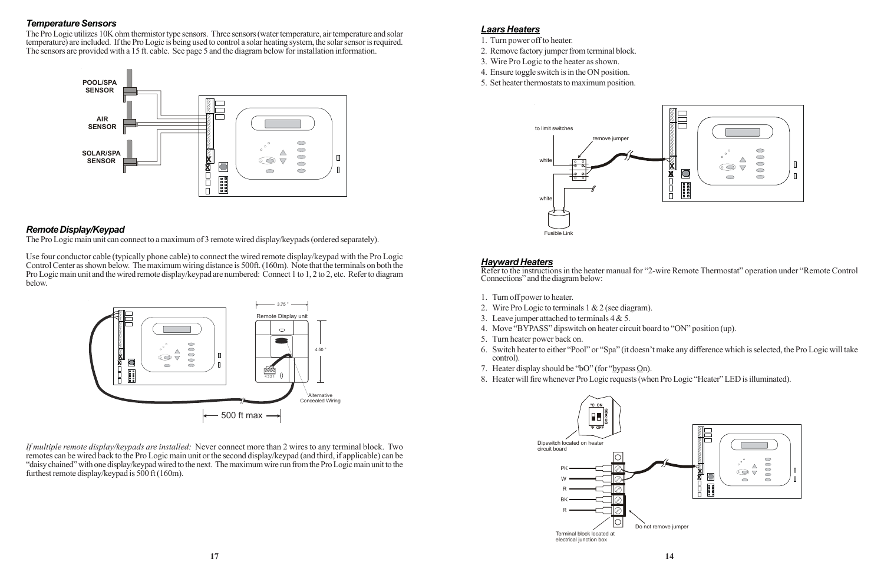#### *Laars Heaters*

- 1. Turn power off to heater.
- 2. Remove factory jumper from terminal block.
- 3. Wire Pro Logic to the heater as shown.
- 4. Ensure toggle switch is in the ON position.
- 5. Set heater thermostats to maximum position.



#### *Hayward Heaters*

Refer to the instructions in the heater manual for "2-wire Remote Thermostat" operation under "Remote Control Connections" and the diagram below:

- 1. Turn off power to heater.
- 2. Wire Pro Logic to terminals 1 & 2 (see diagram).
- 3. Leave jumper attached to terminals  $4 & 5$ .
- 4. Move "BYPASS" dipswitch on heater circuit board to "ON" position (up).
- 5. Turn heater power back on.
- control).
- 7. Heater display should be "bO" (for "bypass  $Qn$ ).
- 8. Heater will fire whenever Pro Logic requests (when Pro Logic "Heater" LED is illuminated).

6. Switch heater to either "Pool" or "Spa" (it doesn't make any difference which is selected, the Pro Logic will take



#### *Temperature Sensors*

The Pro Logic utilizes 10K ohm thermistor type sensors. Three sensors (water temperature, air temperature and solar temperature) are included. If the Pro Logic is being used to control a solar heating system, the solar sensor is required. The sensors are provided with a 15 ft. cable. See page 5 and the diagram below for installation information.



#### *Remote Display/Keypad*

The Pro Logic main unit can connect to a maximum of 3 remote wired display/keypads (ordered separately).

Use four conductor cable (typically phone cable) to connect the wired remote display/keypad with the Pro Logic Control Center as shown below. The maximum wiring distance is 500ft. (160m). Note that the terminals on both the Pro Logic main unit and the wired remote display/keypad are numbered: Connect 1 to 1, 2 to 2, etc. Refer to diagram below.



*If multiple remote display/keypads are installed:* Never connect more than 2 wires to any terminal block. Two remotes can be wired back to the Pro Logic main unit or the second display/keypad (and third, if applicable) can be "daisy chained" with one display/keypad wired to the next. The maximum wire run from the Pro Logic main unit to the furthest remote display/keypad is 500 ft (160m).